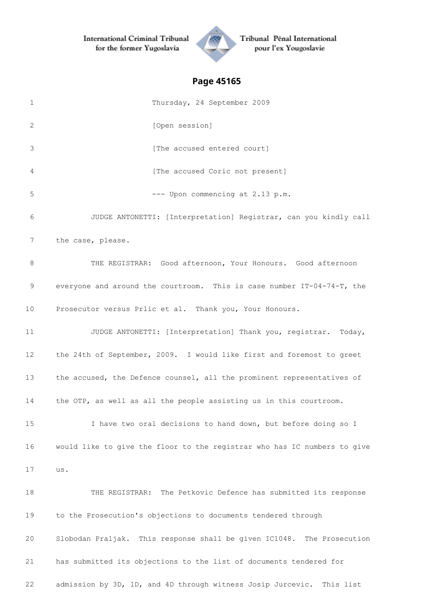

Tribunal Pénal International pour l'ex Yougoslavie

| 1               | Thursday, 24 September 2009                                              |
|-----------------|--------------------------------------------------------------------------|
| 2               | [Open session]                                                           |
| 3               | [The accused entered court]                                              |
| 4               | [The accused Coric not present]                                          |
| 5               | --- Upon commencing at 2.13 p.m.                                         |
| 6               | JUDGE ANTONETTI: [Interpretation] Registrar, can you kindly call         |
| 7               | the case, please.                                                        |
| 8               | THE REGISTRAR: Good afternoon, Your Honours. Good afternoon              |
| 9               | everyone and around the courtroom. This is case number IT-04-74-T, the   |
| 10 <sup>°</sup> | Prosecutor versus Prlic et al. Thank you, Your Honours.                  |
| 11              | JUDGE ANTONETTI: [Interpretation] Thank you, registrar.<br>Today,        |
| 12 <sup>°</sup> | the 24th of September, 2009. I would like first and foremost to greet    |
| 13              | the accused, the Defence counsel, all the prominent representatives of   |
| 14              | the OTP, as well as all the people assisting us in this courtroom.       |
| 15              | I have two oral decisions to hand down, but before doing so I            |
| 16              | would like to give the floor to the registrar who has IC numbers to give |
| 17              | us.                                                                      |
| 18              | THE REGISTRAR: The Petkovic Defence has submitted its response           |
| 19              | to the Prosecution's objections to documents tendered through            |
| 20              | Slobodan Praljak. This response shall be given IC1048. The Prosecution   |
| 21              | has submitted its objections to the list of documents tendered for       |
| 22              | admission by 3D, 1D, and 4D through witness Josip Jurcevic. This list    |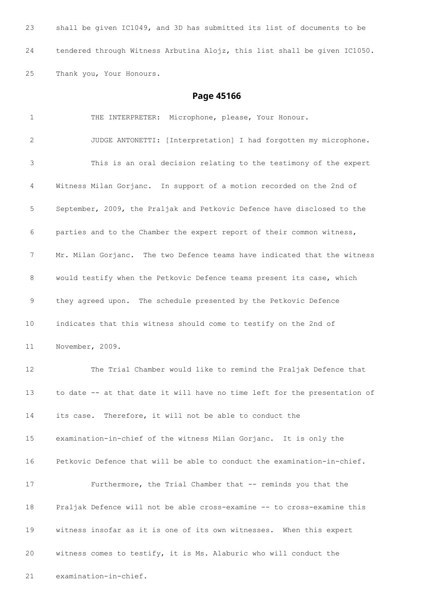shall be given IC1049, and 3D has submitted its list of documents to be tendered through Witness Arbutina Alojz, this list shall be given IC1050. Thank you, Your Honours.

| $\mathbf 1$ | THE INTERPRETER: Microphone, please, Your Honour.                         |
|-------------|---------------------------------------------------------------------------|
| 2           | JUDGE ANTONETTI: [Interpretation] I had forgotten my microphone.          |
| 3           | This is an oral decision relating to the testimony of the expert          |
| 4           | Witness Milan Gorjanc. In support of a motion recorded on the 2nd of      |
| 5           | September, 2009, the Praljak and Petkovic Defence have disclosed to the   |
| 6           | parties and to the Chamber the expert report of their common witness,     |
| 7           | Mr. Milan Gorjanc. The two Defence teams have indicated that the witness  |
| 8           | would testify when the Petkovic Defence teams present its case, which     |
| 9           | they agreed upon. The schedule presented by the Petkovic Defence          |
| 10          | indicates that this witness should come to testify on the 2nd of          |
| 11          | November, 2009.                                                           |
| 12          | The Trial Chamber would like to remind the Praljak Defence that           |
| 13          | to date -- at that date it will have no time left for the presentation of |
| 14          | its case. Therefore, it will not be able to conduct the                   |
| 15          | examination-in-chief of the witness Milan Gorjanc. It is only the         |
| 16          | Petkovic Defence that will be able to conduct the examination-in-chief.   |
| 17          | Furthermore, the Trial Chamber that -- reminds you that the               |
| 18          | Praljak Defence will not be able cross-examine -- to cross-examine this   |
| 19          | witness insofar as it is one of its own witnesses. When this expert       |
| 20          | witness comes to testify, it is Ms. Alaburic who will conduct the         |
| 21          | examination-in-chief.                                                     |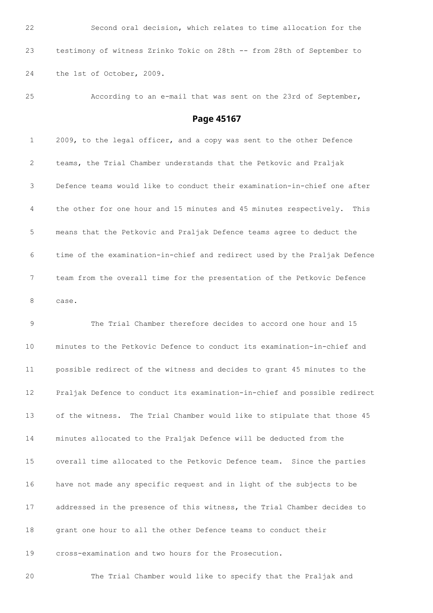Second oral decision, which relates to time allocation for the testimony of witness Zrinko Tokic on 28th -- from 28th of September to the 1st of October, 2009.

According to an e-mail that was sent on the 23rd of September,

**Page 45167**

 2009, to the legal officer, and a copy was sent to the other Defence teams, the Trial Chamber understands that the Petkovic and Praljak Defence teams would like to conduct their examination-in-chief one after the other for one hour and 15 minutes and 45 minutes respectively. This means that the Petkovic and Praljak Defence teams agree to deduct the time of the examination-in-chief and redirect used by the Praljak Defence team from the overall time for the presentation of the Petkovic Defence case.

 The Trial Chamber therefore decides to accord one hour and 15 minutes to the Petkovic Defence to conduct its examination-in-chief and possible redirect of the witness and decides to grant 45 minutes to the Praljak Defence to conduct its examination-in-chief and possible redirect of the witness. The Trial Chamber would like to stipulate that those 45 minutes allocated to the Praljak Defence will be deducted from the overall time allocated to the Petkovic Defence team. Since the parties have not made any specific request and in light of the subjects to be addressed in the presence of this witness, the Trial Chamber decides to grant one hour to all the other Defence teams to conduct their cross-examination and two hours for the Prosecution.

The Trial Chamber would like to specify that the Praljak and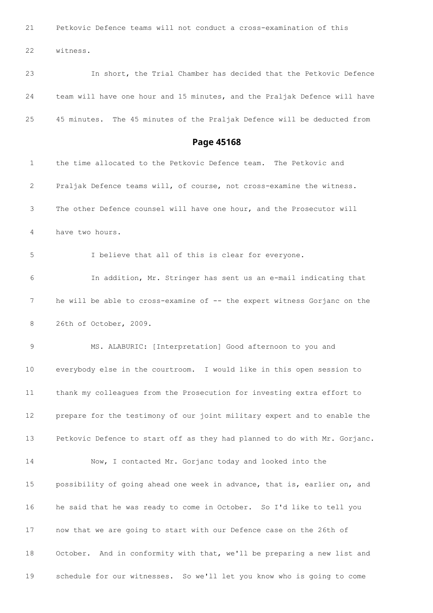Petkovic Defence teams will not conduct a cross-examination of this

witness.

 In short, the Trial Chamber has decided that the Petkovic Defence team will have one hour and 15 minutes, and the Praljak Defence will have 45 minutes. The 45 minutes of the Praljak Defence will be deducted from

| $\mathbf 1$     | the time allocated to the Petkovic Defence team. The Petkovic and         |
|-----------------|---------------------------------------------------------------------------|
| 2               | Praljak Defence teams will, of course, not cross-examine the witness.     |
| 3               | The other Defence counsel will have one hour, and the Prosecutor will     |
| 4               | have two hours.                                                           |
| 5               | I believe that all of this is clear for everyone.                         |
| 6               | In addition, Mr. Stringer has sent us an e-mail indicating that           |
| 7               | he will be able to cross-examine of -- the expert witness Gorjanc on the  |
| 8               | 26th of October, 2009.                                                    |
| 9               | MS. ALABURIC: [Interpretation] Good afternoon to you and                  |
| 10              | everybody else in the courtroom. I would like in this open session to     |
| 11              | thank my colleagues from the Prosecution for investing extra effort to    |
| 12 <sup>°</sup> | prepare for the testimony of our joint military expert and to enable the  |
| 13              | Petkovic Defence to start off as they had planned to do with Mr. Gorjanc. |
| 14              | Now, I contacted Mr. Gorjanc today and looked into the                    |
| 15              | possibility of going ahead one week in advance, that is, earlier on, and  |
| 16              | he said that he was ready to come in October. So I'd like to tell you     |
| 17              | now that we are going to start with our Defence case on the 26th of       |
| 18              | October. And in conformity with that, we'll be preparing a new list and   |
| 19              | schedule for our witnesses. So we'll let you know who is going to come    |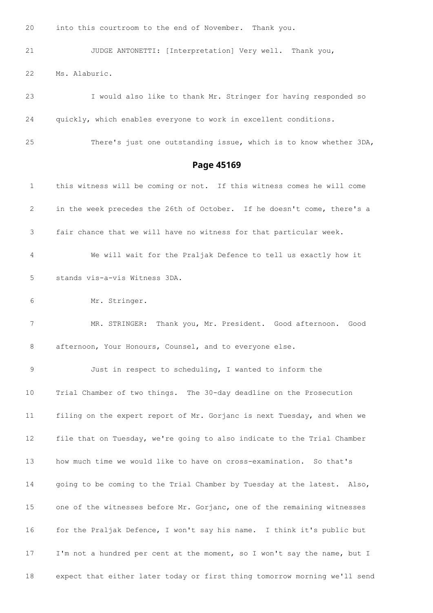into this courtroom to the end of November. Thank you.

 JUDGE ANTONETTI: [Interpretation] Very well. Thank you, Ms. Alaburic.

 I would also like to thank Mr. Stringer for having responded so quickly, which enables everyone to work in excellent conditions.

There's just one outstanding issue, which is to know whether 3DA,

#### **Page 45169**

 this witness will be coming or not. If this witness comes he will come in the week precedes the 26th of October. If he doesn't come, there's a fair chance that we will have no witness for that particular week. We will wait for the Praljak Defence to tell us exactly how it stands vis-a-vis Witness 3DA. Mr. Stringer. MR. STRINGER: Thank you, Mr. President. Good afternoon. Good 8 afternoon, Your Honours, Counsel, and to everyone else. Just in respect to scheduling, I wanted to inform the Trial Chamber of two things. The 30-day deadline on the Prosecution filing on the expert report of Mr. Gorjanc is next Tuesday, and when we file that on Tuesday, we're going to also indicate to the Trial Chamber how much time we would like to have on cross-examination. So that's going to be coming to the Trial Chamber by Tuesday at the latest. Also, one of the witnesses before Mr. Gorjanc, one of the remaining witnesses for the Praljak Defence, I won't say his name. I think it's public but I'm not a hundred per cent at the moment, so I won't say the name, but I expect that either later today or first thing tomorrow morning we'll send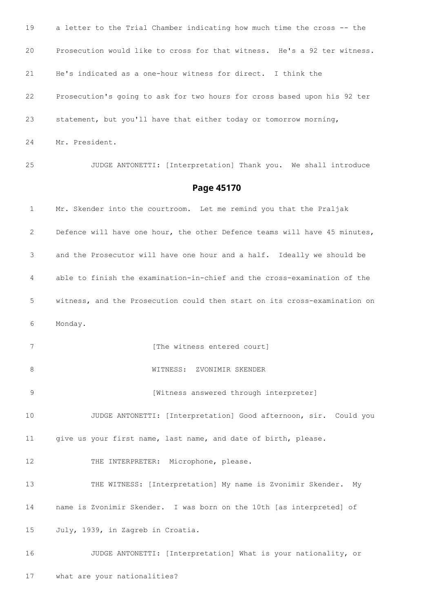a letter to the Trial Chamber indicating how much time the cross -- the Prosecution would like to cross for that witness. He's a 92 ter witness. He's indicated as a one-hour witness for direct. I think the Prosecution's going to ask for two hours for cross based upon his 92 ter statement, but you'll have that either today or tomorrow morning, Mr. President. JUDGE ANTONETTI: [Interpretation] Thank you. We shall introduce **Page 45170** Mr. Skender into the courtroom. Let me remind you that the Praljak Defence will have one hour, the other Defence teams will have 45 minutes, and the Prosecutor will have one hour and a half. Ideally we should be able to finish the examination-in-chief and the cross-examination of the witness, and the Prosecution could then start on its cross-examination on Monday. 7 [The witness entered court] WITNESS: ZVONIMIR SKENDER **12 [Witness answered through interpreter]**  JUDGE ANTONETTI: [Interpretation] Good afternoon, sir. Could you give us your first name, last name, and date of birth, please. 12 THE INTERPRETER: Microphone, please. THE WITNESS: [Interpretation] My name is Zvonimir Skender. My name is Zvonimir Skender. I was born on the 10th [as interpreted] of July, 1939, in Zagreb in Croatia. JUDGE ANTONETTI: [Interpretation] What is your nationality, or what are your nationalities?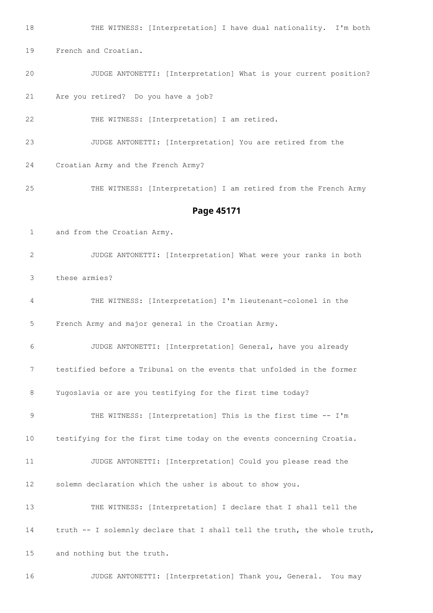THE WITNESS: [Interpretation] I have dual nationality. I'm both French and Croatian. JUDGE ANTONETTI: [Interpretation] What is your current position? Are you retired? Do you have a job? THE WITNESS: [Interpretation] I am retired. JUDGE ANTONETTI: [Interpretation] You are retired from the

Croatian Army and the French Army?

THE WITNESS: [Interpretation] I am retired from the French Army

#### **Page 45171**

and from the Croatian Army.

 JUDGE ANTONETTI: [Interpretation] What were your ranks in both these armies?

 THE WITNESS: [Interpretation] I'm lieutenant-colonel in the French Army and major general in the Croatian Army.

 JUDGE ANTONETTI: [Interpretation] General, have you already testified before a Tribunal on the events that unfolded in the former Yugoslavia or are you testifying for the first time today?

 THE WITNESS: [Interpretation] This is the first time -- I'm testifying for the first time today on the events concerning Croatia.

 JUDGE ANTONETTI: [Interpretation] Could you please read the solemn declaration which the usher is about to show you.

 THE WITNESS: [Interpretation] I declare that I shall tell the truth -- I solemnly declare that I shall tell the truth, the whole truth, and nothing but the truth.

JUDGE ANTONETTI: [Interpretation] Thank you, General. You may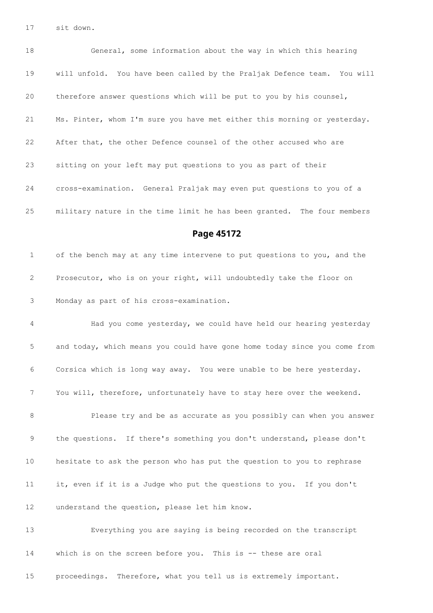sit down.

 General, some information about the way in which this hearing will unfold. You have been called by the Praljak Defence team. You will therefore answer questions which will be put to you by his counsel, Ms. Pinter, whom I'm sure you have met either this morning or yesterday. After that, the other Defence counsel of the other accused who are sitting on your left may put questions to you as part of their cross-examination. General Praljak may even put questions to you of a military nature in the time limit he has been granted. The four members

**Page 45172**

 of the bench may at any time intervene to put questions to you, and the Prosecutor, who is on your right, will undoubtedly take the floor on Monday as part of his cross-examination.

 Had you come yesterday, we could have held our hearing yesterday and today, which means you could have gone home today since you come from Corsica which is long way away. You were unable to be here yesterday. You will, therefore, unfortunately have to stay here over the weekend.

 Please try and be as accurate as you possibly can when you answer the questions. If there's something you don't understand, please don't hesitate to ask the person who has put the question to you to rephrase it, even if it is a Judge who put the questions to you. If you don't understand the question, please let him know.

 Everything you are saying is being recorded on the transcript which is on the screen before you. This is -- these are oral

proceedings. Therefore, what you tell us is extremely important.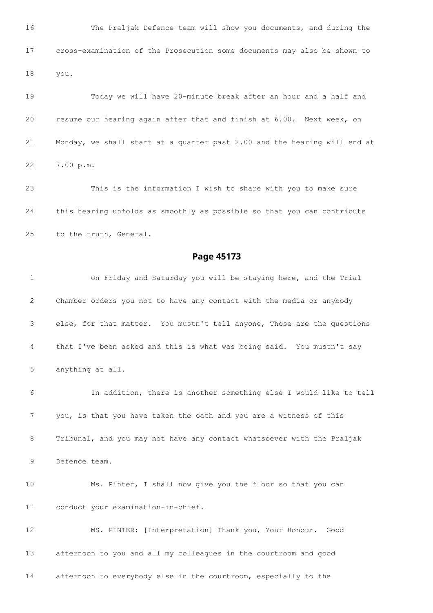The Praljak Defence team will show you documents, and during the cross-examination of the Prosecution some documents may also be shown to you.

 Today we will have 20-minute break after an hour and a half and resume our hearing again after that and finish at 6.00. Next week, on Monday, we shall start at a quarter past 2.00 and the hearing will end at 7.00 p.m.

 This is the information I wish to share with you to make sure this hearing unfolds as smoothly as possible so that you can contribute to the truth, General.

#### **Page 45173**

 On Friday and Saturday you will be staying here, and the Trial Chamber orders you not to have any contact with the media or anybody else, for that matter. You mustn't tell anyone, Those are the questions that I've been asked and this is what was being said. You mustn't say anything at all.

 In addition, there is another something else I would like to tell you, is that you have taken the oath and you are a witness of this Tribunal, and you may not have any contact whatsoever with the Praljak Defence team.

 Ms. Pinter, I shall now give you the floor so that you can conduct your examination-in-chief.

 MS. PINTER: [Interpretation] Thank you, Your Honour. Good afternoon to you and all my colleagues in the courtroom and good afternoon to everybody else in the courtroom, especially to the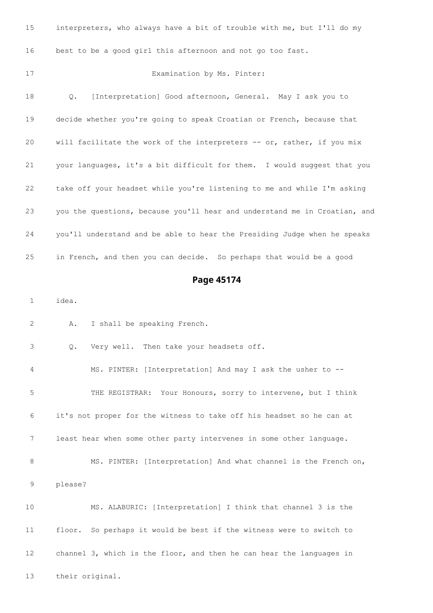| 15              | interpreters, who always have a bit of trouble with me, but I'll do my    |
|-----------------|---------------------------------------------------------------------------|
| 16              | best to be a good girl this afternoon and not go too fast.                |
| 17              | Examination by Ms. Pinter:                                                |
| 18              | [Interpretation] Good afternoon, General. May I ask you to<br>Q.          |
| 19              | decide whether you're going to speak Croatian or French, because that     |
| 20              | will facilitate the work of the interpreters -- or, rather, if you mix    |
| 21              | your languages, it's a bit difficult for them. I would suggest that you   |
| 22              | take off your headset while you're listening to me and while I'm asking   |
| 23              | you the questions, because you'll hear and understand me in Croatian, and |
| 24              | you'll understand and be able to hear the Presiding Judge when he speaks  |
| 25              | in French, and then you can decide. So perhaps that would be a good       |
|                 | Page 45174                                                                |
| 1               | idea.                                                                     |
| 2               | I shall be speaking French.<br>Α.                                         |
| 3               | Very well. Then take your headsets off.<br>Q.                             |
| 4               | MS. PINTER: [Interpretation] And may I ask the usher to --                |
| 5               | THE REGISTRAR: Your Honours, sorry to intervene, but I think              |
| 6               | it's not proper for the witness to take off his headset so he can at      |
| 7               | least hear when some other party intervenes in some other language.       |
| 8               | MS. PINTER: [Interpretation] And what channel is the French on,           |
| 9               | please?                                                                   |
| 10              | MS. ALABURIC: [Interpretation] I think that channel 3 is the              |
| 11              | floor. So perhaps it would be best if the witness were to switch to       |
| 12 <sup>°</sup> | channel 3, which is the floor, and then he can hear the languages in      |
| 13              | their original.                                                           |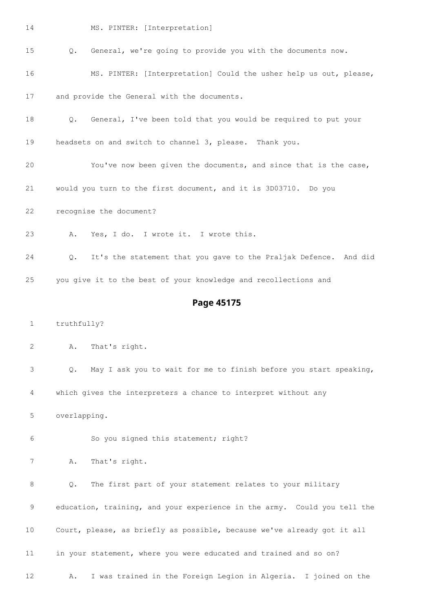#### MS. PINTER: [Interpretation]

Q. General, we're going to provide you with the documents now.

MS. PINTER: [Interpretation] Could the usher help us out, please,

and provide the General with the documents.

Q. General, I've been told that you would be required to put your

headsets on and switch to channel 3, please. Thank you.

- You've now been given the documents, and since that is the case,
- would you turn to the first document, and it is 3D03710. Do you
- recognise the document?
- A. Yes, I do. I wrote it. I wrote this.

 Q. It's the statement that you gave to the Praljak Defence. And did you give it to the best of your knowledge and recollections and

#### **Page 45175**

truthfully?

A. That's right.

Q. May I ask you to wait for me to finish before you start speaking,

which gives the interpreters a chance to interpret without any

overlapping.

So you signed this statement; right?

A. That's right.

 Q. The first part of your statement relates to your military education, training, and your experience in the army. Could you tell the Court, please, as briefly as possible, because we've already got it all in your statement, where you were educated and trained and so on? A. I was trained in the Foreign Legion in Algeria. I joined on the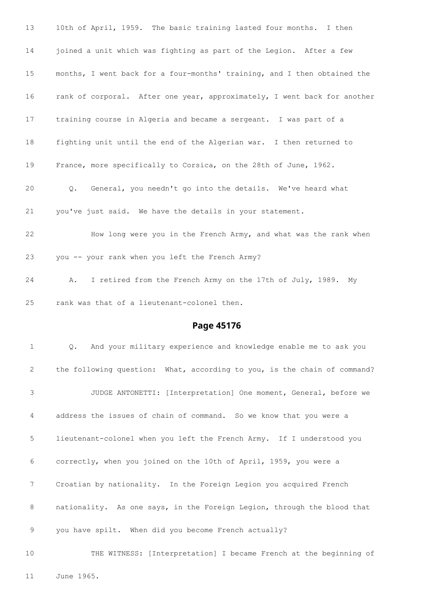| 13 | 10th of April, 1959. The basic training lasted four months. I then          |
|----|-----------------------------------------------------------------------------|
| 14 | joined a unit which was fighting as part of the Legion. After a few         |
| 15 | months, I went back for a four-months' training, and I then obtained the    |
| 16 | rank of corporal. After one year, approximately, I went back for another    |
| 17 | training course in Algeria and became a sergeant. I was part of a           |
| 18 | fighting unit until the end of the Algerian war. I then returned to         |
| 19 | France, more specifically to Corsica, on the 28th of June, 1962.            |
| 20 | General, you needn't go into the details. We've heard what<br>$Q_{\bullet}$ |
| 21 | you've just said. We have the details in your statement.                    |
| 22 | How long were you in the French Army, and what was the rank when            |
| 23 | you -- your rank when you left the French Army?                             |
| 24 | I retired from the French Army on the 17th of July, 1989. My<br>Α.          |
| 25 | rank was that of a lieutenant-colonel then.                                 |
|    |                                                                             |

#### **Page 45176**

 Q. And your military experience and knowledge enable me to ask you the following question: What, according to you, is the chain of command? JUDGE ANTONETTI: [Interpretation] One moment, General, before we address the issues of chain of command. So we know that you were a lieutenant-colonel when you left the French Army. If I understood you correctly, when you joined on the 10th of April, 1959, you were a Croatian by nationality. In the Foreign Legion you acquired French 8 nationality. As one says, in the Foreign Legion, through the blood that you have spilt. When did you become French actually?

 THE WITNESS: [Interpretation] I became French at the beginning of June 1965.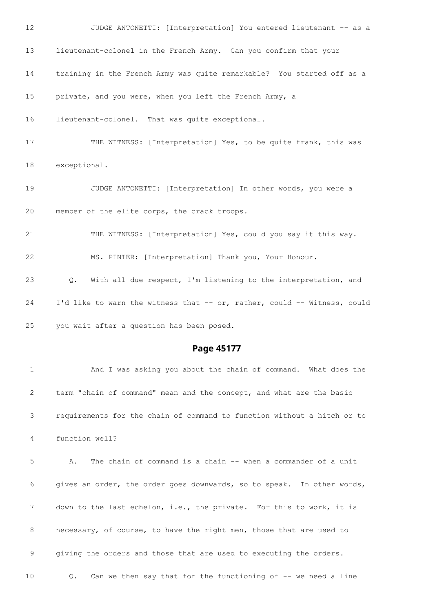

requirements for the chain of command to function without a hitch or to

function well?

 A. The chain of command is a chain -- when a commander of a unit gives an order, the order goes downwards, so to speak. In other words, down to the last echelon, i.e., the private. For this to work, it is necessary, of course, to have the right men, those that are used to giving the orders and those that are used to executing the orders. Q. Can we then say that for the functioning of -- we need a line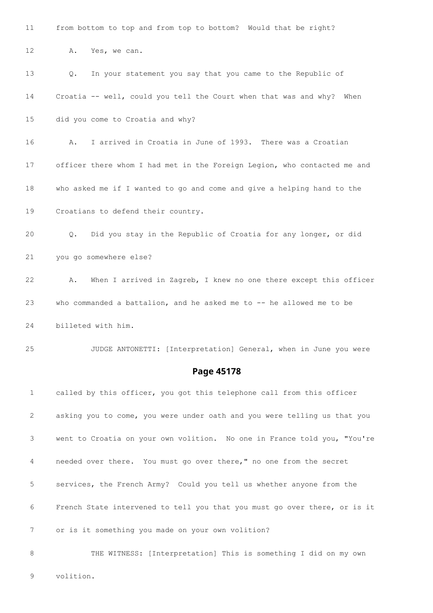from bottom to top and from top to bottom? Would that be right?

12 A. Yes, we can.

 Q. In your statement you say that you came to the Republic of Croatia -- well, could you tell the Court when that was and why? When did you come to Croatia and why? A. I arrived in Croatia in June of 1993. There was a Croatian officer there whom I had met in the Foreign Legion, who contacted me and who asked me if I wanted to go and come and give a helping hand to the Croatians to defend their country. Q. Did you stay in the Republic of Croatia for any longer, or did you go somewhere else? A. When I arrived in Zagreb, I knew no one there except this officer who commanded a battalion, and he asked me to -- he allowed me to be billeted with him. JUDGE ANTONETTI: [Interpretation] General, when in June you were

#### **Page 45178**

 called by this officer, you got this telephone call from this officer asking you to come, you were under oath and you were telling us that you went to Croatia on your own volition. No one in France told you, "You're needed over there. You must go over there," no one from the secret services, the French Army? Could you tell us whether anyone from the French State intervened to tell you that you must go over there, or is it or is it something you made on your own volition? THE WITNESS: [Interpretation] This is something I did on my own

volition.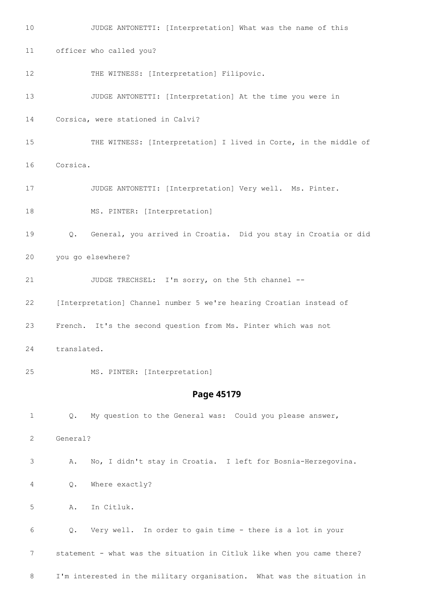JUDGE ANTONETTI: [Interpretation] What was the name of this officer who called you? 12 THE WITNESS: [Interpretation] Filipovic. JUDGE ANTONETTI: [Interpretation] At the time you were in Corsica, were stationed in Calvi? THE WITNESS: [Interpretation] I lived in Corte, in the middle of Corsica. JUDGE ANTONETTI: [Interpretation] Very well. Ms. Pinter. 18 MS. PINTER: [Interpretation] Q. General, you arrived in Croatia. Did you stay in Croatia or did you go elsewhere? JUDGE TRECHSEL: I'm sorry, on the 5th channel -- [Interpretation] Channel number 5 we're hearing Croatian instead of French. It's the second question from Ms. Pinter which was not translated. MS. PINTER: [Interpretation] **Page 45179** Q. My question to the General was: Could you please answer, General? A. No, I didn't stay in Croatia. I left for Bosnia-Herzegovina. Q. Where exactly? A. In Citluk. Q. Very well. In order to gain time - there is a lot in your statement - what was the situation in Citluk like when you came there? I'm interested in the military organisation. What was the situation in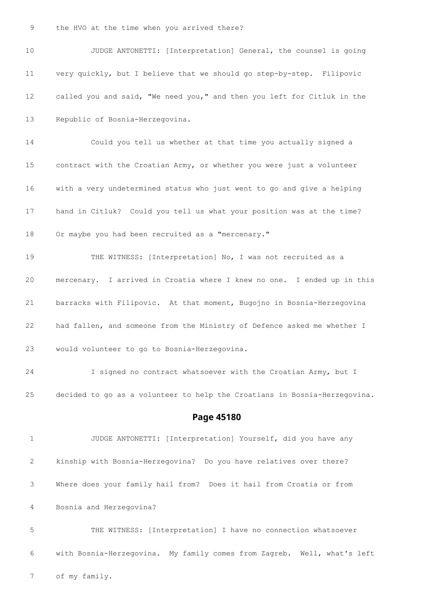JUDGE ANTONETTI: [Interpretation] General, the counsel is going very quickly, but I believe that we should go step-by-step. Filipovic called you and said, "We need you," and then you left for Citluk in the Republic of Bosnia-Herzegovina. Could you tell us whether at that time you actually signed a contract with the Croatian Army, or whether you were just a volunteer with a very undetermined status who just went to go and give a helping hand in Citluk? Could you tell us what your position was at the time? Or maybe you had been recruited as a "mercenary." THE WITNESS: [Interpretation] No, I was not recruited as a mercenary. I arrived in Croatia where I knew no one. I ended up in this barracks with Filipovic. At that moment, Bugojno in Bosnia-Herzegovina had fallen, and someone from the Ministry of Defence asked me whether I would volunteer to go to Bosnia-Herzegovina. I signed no contract whatsoever with the Croatian Army, but I decided to go as a volunteer to help the Croatians in Bosnia-Herzegovina. **Page 45180** JUDGE ANTONETTI: [Interpretation] Yourself, did you have any kinship with Bosnia-Herzegovina? Do you have relatives over there? Where does your family hail from? Does it hail from Croatia or from Bosnia and Herzegovina? THE WITNESS: [Interpretation] I have no connection whatsoever

with Bosnia-Herzegovina. My family comes from Zagreb. Well, what's left

of my family.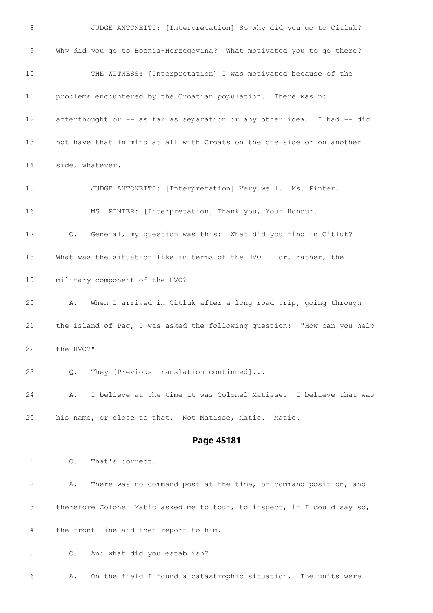JUDGE ANTONETTI: [Interpretation] So why did you go to Citluk? Why did you go to Bosnia-Herzegovina? What motivated you to go there? THE WITNESS: [Interpretation] I was motivated because of the problems encountered by the Croatian population. There was no afterthought or -- as far as separation or any other idea. I had -- did not have that in mind at all with Croats on the one side or on another side, whatever. JUDGE ANTONETTI: [Interpretation] Very well. Ms. Pinter. MS. PINTER: [Interpretation] Thank you, Your Honour. Q. General, my question was this: What did you find in Citluk? What was the situation like in terms of the HVO -- or, rather, the military component of the HVO? A. When I arrived in Citluk after a long road trip, going through the island of Pag, I was asked the following question: "How can you help the HVO?" Q. They [Previous translation continued]... A. I believe at the time it was Colonel Matisse. I believe that was his name, or close to that. Not Matisse, Matic. Matic. **Page 45181** Q. That's correct. A. There was no command post at the time, or command position, and therefore Colonel Matic asked me to tour, to inspect, if I could say so, the front line and then report to him.

Q. And what did you establish?

A. On the field I found a catastrophic situation. The units were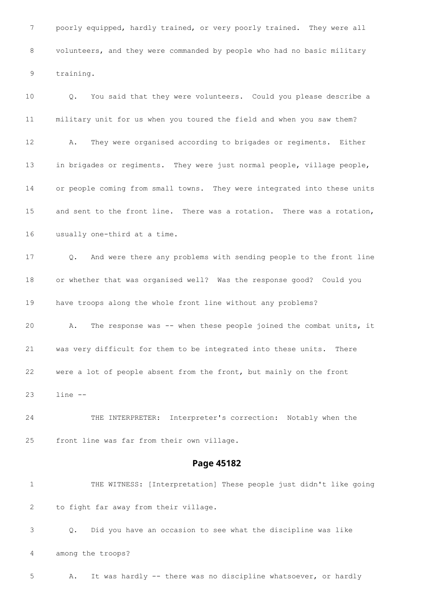poorly equipped, hardly trained, or very poorly trained. They were all volunteers, and they were commanded by people who had no basic military training.

 Q. You said that they were volunteers. Could you please describe a military unit for us when you toured the field and when you saw them? A. They were organised according to brigades or regiments. Either in brigades or regiments. They were just normal people, village people, or people coming from small towns. They were integrated into these units and sent to the front line. There was a rotation. There was a rotation, usually one-third at a time. Q. And were there any problems with sending people to the front line or whether that was organised well? Was the response good? Could you have troops along the whole front line without any problems? 20 A. The response was -- when these people joined the combat units, it was very difficult for them to be integrated into these units. There were a lot of people absent from the front, but mainly on the front line --

 THE INTERPRETER: Interpreter's correction: Notably when the front line was far from their own village.

#### **Page 45182**

 THE WITNESS: [Interpretation] These people just didn't like going to fight far away from their village.

 Q. Did you have an occasion to see what the discipline was like among the troops?

5 A. It was hardly -- there was no discipline whatsoever, or hardly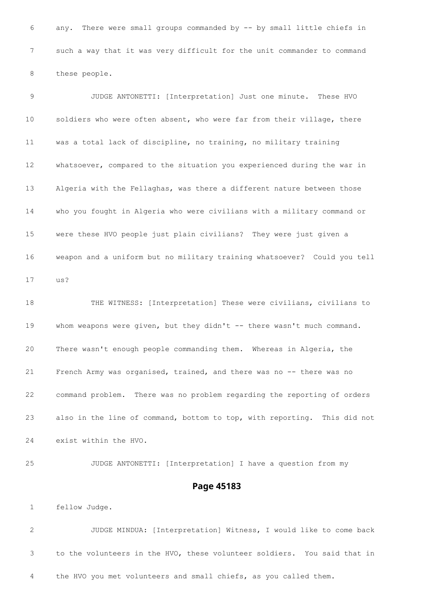any. There were small groups commanded by -- by small little chiefs in such a way that it was very difficult for the unit commander to command these people.

 JUDGE ANTONETTI: [Interpretation] Just one minute. These HVO soldiers who were often absent, who were far from their village, there was a total lack of discipline, no training, no military training whatsoever, compared to the situation you experienced during the war in Algeria with the Fellaghas, was there a different nature between those who you fought in Algeria who were civilians with a military command or were these HVO people just plain civilians? They were just given a weapon and a uniform but no military training whatsoever? Could you tell us?

 THE WITNESS: [Interpretation] These were civilians, civilians to 19 whom weapons were given, but they didn't -- there wasn't much command. There wasn't enough people commanding them. Whereas in Algeria, the French Army was organised, trained, and there was no -- there was no command problem. There was no problem regarding the reporting of orders also in the line of command, bottom to top, with reporting. This did not exist within the HVO.

 JUDGE ANTONETTI: [Interpretation] I have a question from my **Page 45183**

fellow Judge.

 JUDGE MINDUA: [Interpretation] Witness, I would like to come back to the volunteers in the HVO, these volunteer soldiers. You said that in the HVO you met volunteers and small chiefs, as you called them.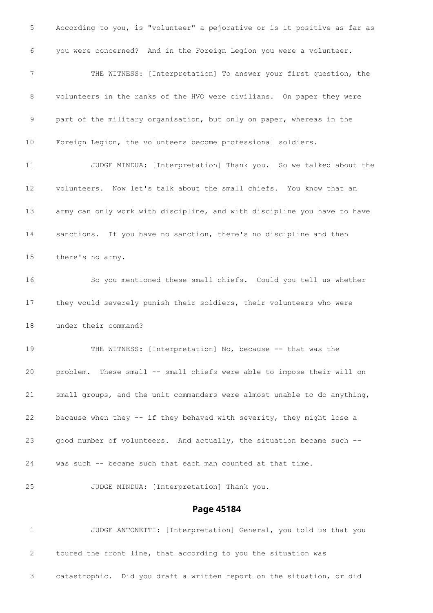According to you, is "volunteer" a pejorative or is it positive as far as you were concerned? And in the Foreign Legion you were a volunteer. THE WITNESS: [Interpretation] To answer your first question, the volunteers in the ranks of the HVO were civilians. On paper they were part of the military organisation, but only on paper, whereas in the Foreign Legion, the volunteers become professional soldiers. JUDGE MINDUA: [Interpretation] Thank you. So we talked about the volunteers. Now let's talk about the small chiefs. You know that an army can only work with discipline, and with discipline you have to have sanctions. If you have no sanction, there's no discipline and then there's no army. So you mentioned these small chiefs. Could you tell us whether they would severely punish their soldiers, their volunteers who were under their command? THE WITNESS: [Interpretation] No, because -- that was the 20 problem. These small -- small chiefs were able to impose their will on small groups, and the unit commanders were almost unable to do anything, because when they -- if they behaved with severity, they might lose a good number of volunteers. And actually, the situation became such -- was such -- became such that each man counted at that time. JUDGE MINDUA: [Interpretation] Thank you. **Page 45184** JUDGE ANTONETTI: [Interpretation] General, you told us that you

 toured the front line, that according to you the situation was catastrophic. Did you draft a written report on the situation, or did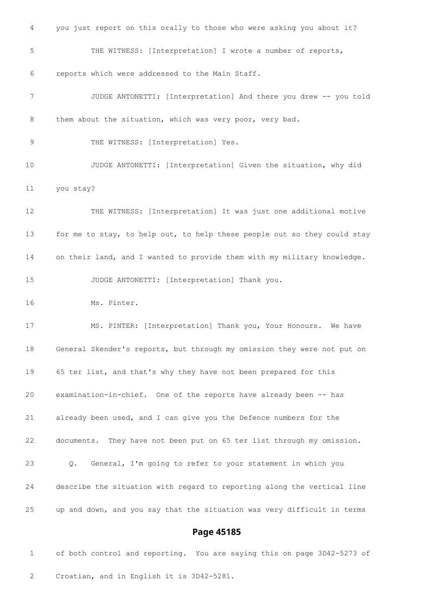you just report on this orally to those who were asking you about it? THE WITNESS: [Interpretation] I wrote a number of reports, reports which were addressed to the Main Staff. JUDGE ANTONETTI: [Interpretation] And there you drew -- you told 8 them about the situation, which was very poor, very bad. 9 THE WITNESS: [Interpretation] Yes. JUDGE ANTONETTI: [Interpretation] Given the situation, why did you stay? THE WITNESS: [Interpretation] It was just one additional motive for me to stay, to help out, to help these people out so they could stay on their land, and I wanted to provide them with my military knowledge. JUDGE ANTONETTI: [Interpretation] Thank you. Ms. Pinter. MS. PINTER: [Interpretation] Thank you, Your Honours. We have General Skender's reports, but through my omission they were not put on 65 ter list, and that's why they have not been prepared for this examination-in-chief. One of the reports have already been -- has already been used, and I can give you the Defence numbers for the documents. They have not been put on 65 ter list through my omission. Q. General, I'm going to refer to your statement in which you describe the situation with regard to reporting along the vertical line up and down, and you say that the situation was very difficult in terms

#### **Page 45185**

 of both control and reporting. You are saying this on page 3D42-5273 of Croatian, and in English it is 3D42-5281.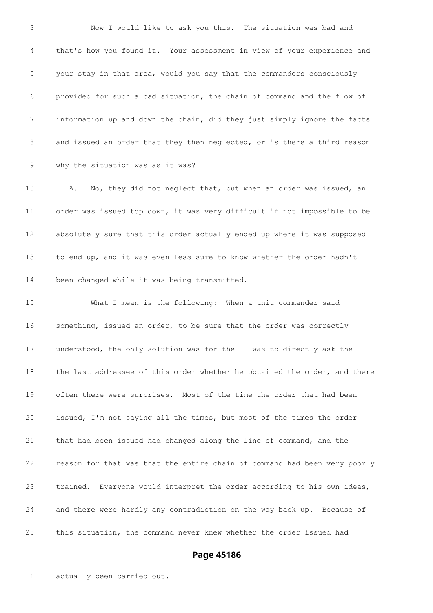Now I would like to ask you this. The situation was bad and that's how you found it. Your assessment in view of your experience and your stay in that area, would you say that the commanders consciously provided for such a bad situation, the chain of command and the flow of information up and down the chain, did they just simply ignore the facts 8 and issued an order that they then neglected, or is there a third reason why the situation was as it was?

10 A. No, they did not neglect that, but when an order was issued, an order was issued top down, it was very difficult if not impossible to be absolutely sure that this order actually ended up where it was supposed to end up, and it was even less sure to know whether the order hadn't been changed while it was being transmitted.

 What I mean is the following: When a unit commander said something, issued an order, to be sure that the order was correctly understood, the only solution was for the -- was to directly ask the -- the last addressee of this order whether he obtained the order, and there often there were surprises. Most of the time the order that had been issued, I'm not saying all the times, but most of the times the order that had been issued had changed along the line of command, and the reason for that was that the entire chain of command had been very poorly trained. Everyone would interpret the order according to his own ideas, and there were hardly any contradiction on the way back up. Because of this situation, the command never knew whether the order issued had

#### **Page 45186**

actually been carried out.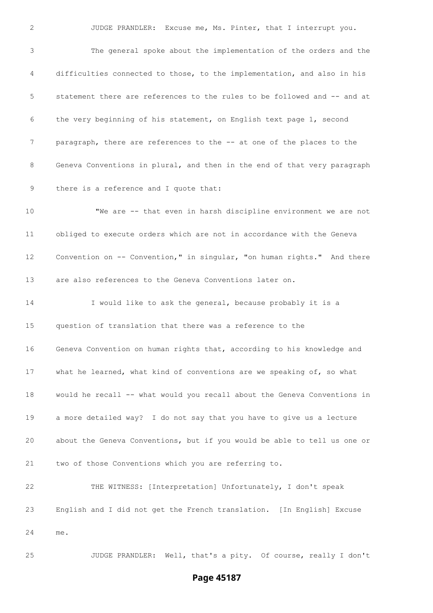JUDGE PRANDLER: Excuse me, Ms. Pinter, that I interrupt you.

 The general spoke about the implementation of the orders and the difficulties connected to those, to the implementation, and also in his statement there are references to the rules to be followed and -- and at the very beginning of his statement, on English text page 1, second paragraph, there are references to the -- at one of the places to the Geneva Conventions in plural, and then in the end of that very paragraph there is a reference and I quote that: "We are -- that even in harsh discipline environment we are not obliged to execute orders which are not in accordance with the Geneva Convention on -- Convention," in singular, "on human rights." And there are also references to the Geneva Conventions later on. I would like to ask the general, because probably it is a question of translation that there was a reference to the Geneva Convention on human rights that, according to his knowledge and what he learned, what kind of conventions are we speaking of, so what would he recall -- what would you recall about the Geneva Conventions in a more detailed way? I do not say that you have to give us a lecture about the Geneva Conventions, but if you would be able to tell us one or two of those Conventions which you are referring to. THE WITNESS: [Interpretation] Unfortunately, I don't speak English and I did not get the French translation. [In English] Excuse me.

JUDGE PRANDLER: Well, that's a pity. Of course, really I don't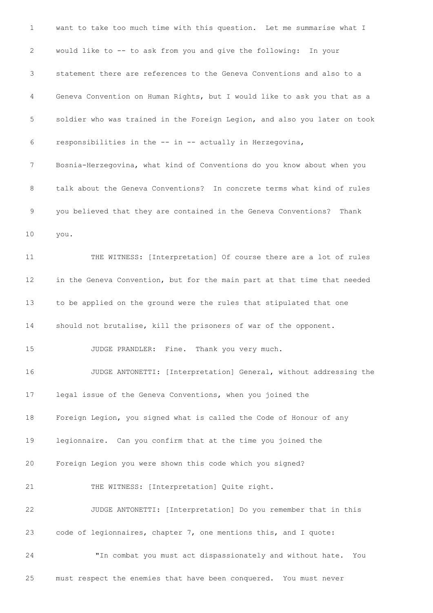| 1  | want to take too much time with this question. Let me summarise what I    |
|----|---------------------------------------------------------------------------|
| 2  | would like to -- to ask from you and give the following: In your          |
| 3  | statement there are references to the Geneva Conventions and also to a    |
| 4  | Geneva Convention on Human Rights, but I would like to ask you that as a  |
| 5  | soldier who was trained in the Foreign Legion, and also you later on took |
| 6  | responsibilities in the -- in -- actually in Herzegovina,                 |
| 7  | Bosnia-Herzegovina, what kind of Conventions do you know about when you   |
| 8  | talk about the Geneva Conventions? In concrete terms what kind of rules   |
| 9  | you believed that they are contained in the Geneva Conventions?<br>Thank  |
| 10 | you.                                                                      |
| 11 | THE WITNESS: [Interpretation] Of course there are a lot of rules          |
| 12 | in the Geneva Convention, but for the main part at that time that needed  |
| 13 | to be applied on the ground were the rules that stipulated that one       |
| 14 | should not brutalise, kill the prisoners of war of the opponent.          |
| 15 | JUDGE PRANDLER: Fine.<br>Thank you very much.                             |
| 16 | JUDGE ANTONETTI: [Interpretation] General, without addressing the         |
| 17 | legal issue of the Geneva Conventions, when you joined the                |
| 18 | Foreign Legion, you signed what is called the Code of Honour of any       |
| 19 | legionnaire. Can you confirm that at the time you joined the              |
| 20 | Foreign Legion you were shown this code which you signed?                 |
| 21 | THE WITNESS: [Interpretation] Quite right.                                |
| 22 | JUDGE ANTONETTI: [Interpretation] Do you remember that in this            |
| 23 | code of legionnaires, chapter 7, one mentions this, and I quote:          |
| 24 | "In combat you must act dispassionately and without hate.<br>You          |
| 25 | must respect the enemies that have been conquered. You must never         |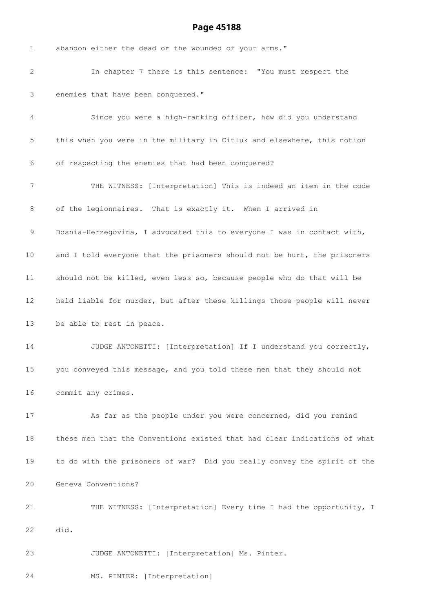| 1                 | abandon either the dead or the wounded or your arms."                     |
|-------------------|---------------------------------------------------------------------------|
| 2                 | In chapter 7 there is this sentence: "You must respect the                |
| 3                 | enemies that have been conquered."                                        |
| 4                 | Since you were a high-ranking officer, how did you understand             |
| 5                 | this when you were in the military in Citluk and elsewhere, this notion   |
| 6                 | of respecting the enemies that had been conquered?                        |
| 7                 | THE WITNESS: [Interpretation] This is indeed an item in the code          |
| 8                 | of the legionnaires. That is exactly it. When I arrived in                |
| 9                 | Bosnia-Herzegovina, I advocated this to everyone I was in contact with,   |
| 10                | and I told everyone that the prisoners should not be hurt, the prisoners  |
| 11                | should not be killed, even less so, because people who do that will be    |
| $12 \overline{ }$ | held liable for murder, but after these killings those people will never  |
| 13                | be able to rest in peace.                                                 |
| 14                | JUDGE ANTONETTI: [Interpretation] If I understand you correctly,          |
| 15                | you conveyed this message, and you told these men that they should not    |
| 16                | commit any crimes.                                                        |
| 17                | As far as the people under you were concerned, did you remind             |
| 18                | these men that the Conventions existed that had clear indications of what |
| 19                | to do with the prisoners of war? Did you really convey the spirit of the  |
| 20                | Geneva Conventions?                                                       |
| 21                | THE WITNESS: [Interpretation] Every time I had the opportunity, I         |
| 22                | did.                                                                      |
| 23                | JUDGE ANTONETTI: [Interpretation] Ms. Pinter.                             |
| 24                | MS. PINTER: [Interpretation]                                              |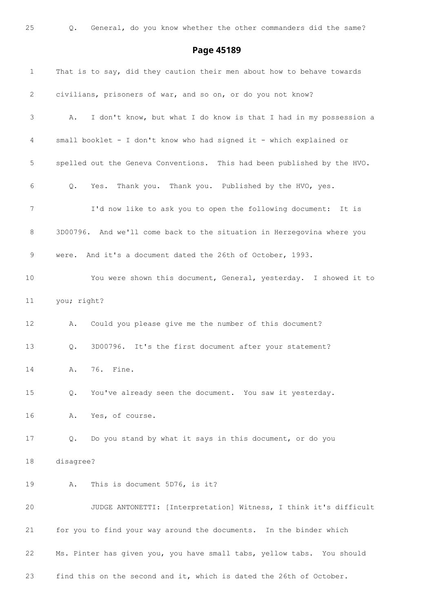| 1  | That is to say, did they caution their men about how to behave towards  |
|----|-------------------------------------------------------------------------|
| 2  | civilians, prisoners of war, and so on, or do you not know?             |
| 3  | I don't know, but what I do know is that I had in my possession a<br>Α. |
| 4  | small booklet - I don't know who had signed it - which explained or     |
| 5  | spelled out the Geneva Conventions. This had been published by the HVO. |
| 6  | Yes. Thank you. Thank you. Published by the HVO, yes.<br>Q.             |
| 7  | I'd now like to ask you to open the following document: It is           |
| 8  | 3D00796. And we'll come back to the situation in Herzegovina where you  |
| 9  | were. And it's a document dated the 26th of October, 1993.              |
| 10 | You were shown this document, General, yesterday. I showed it to        |
| 11 | you; right?                                                             |
| 12 | Could you please give me the number of this document?<br>Α.             |
| 13 | 3D00796. It's the first document after your statement?<br>Q.            |
| 14 | 76. Fine.<br>Α.                                                         |
| 15 | Q.<br>You've already seen the document. You saw it yesterday.           |
| 16 | Yes, of course.<br>Α.                                                   |
| 17 | Do you stand by what it says in this document, or do you<br>Q.          |
| 18 | disagree?                                                               |
| 19 | This is document 5D76, is it?<br>Α.                                     |
| 20 | JUDGE ANTONETTI: [Interpretation] Witness, I think it's difficult       |
| 21 | for you to find your way around the documents. In the binder which      |
| 22 | Ms. Pinter has given you, you have small tabs, yellow tabs. You should  |
| 23 | find this on the second and it, which is dated the 26th of October.     |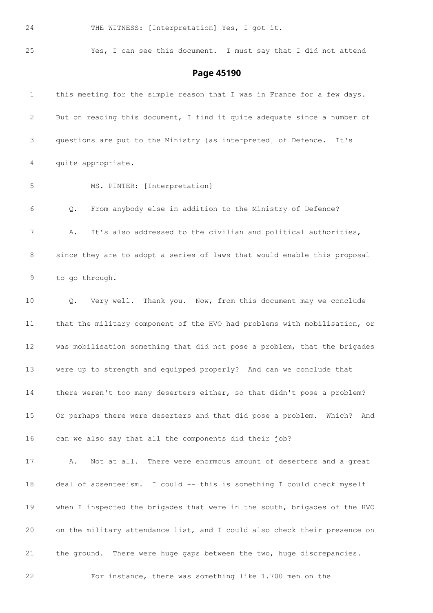24 THE WITNESS: [Interpretation] Yes, I got it.

### Yes, I can see this document. I must say that I did not attend

| $\mathbf{1}$      | this meeting for the simple reason that I was in France for a few days.   |
|-------------------|---------------------------------------------------------------------------|
| 2                 | But on reading this document, I find it quite adequate since a number of  |
| 3                 | questions are put to the Ministry [as interpreted] of Defence.<br>It's    |
| 4                 | quite appropriate.                                                        |
| 5                 | MS. PINTER: [Interpretation]                                              |
| 6                 | From anybody else in addition to the Ministry of Defence?<br>Q.           |
| 7                 | It's also addressed to the civilian and political authorities,<br>Α.      |
| 8                 | since they are to adopt a series of laws that would enable this proposal  |
| 9                 | to go through.                                                            |
| 10                | Very well. Thank you. Now, from this document may we conclude<br>Q.       |
| 11                | that the military component of the HVO had problems with mobilisation, or |
| $12 \overline{ }$ | was mobilisation something that did not pose a problem, that the brigades |
| 13                | were up to strength and equipped properly? And can we conclude that       |
| 14                | there weren't too many deserters either, so that didn't pose a problem?   |
| 15                | Or perhaps there were deserters and that did pose a problem. Which? And   |
| 16                | can we also say that all the components did their job?                    |
| 17                | Not at all. There were enormous amount of deserters and a great<br>Α.     |
| 18                | deal of absenteeism. I could -- this is something I could check myself    |
| 19                | when I inspected the brigades that were in the south, brigades of the HVO |
| 20                | on the military attendance list, and I could also check their presence on |
| 21                | the ground. There were huge gaps between the two, huge discrepancies.     |
| 22                | For instance, there was something like 1.700 men on the                   |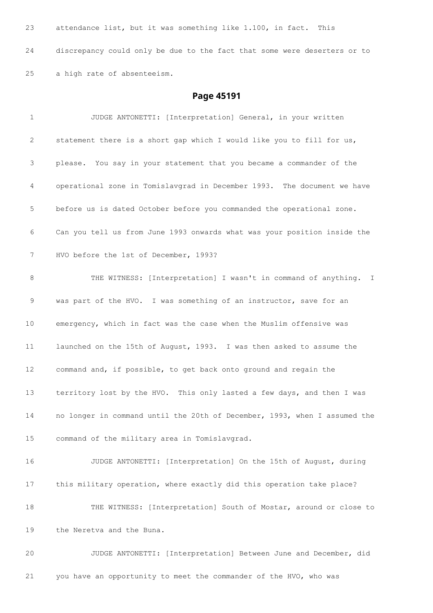| 23 | attendance list, but it was something like 1.100, in fact. This          |
|----|--------------------------------------------------------------------------|
| 24 | discrepancy could only be due to the fact that some were deserters or to |
| 25 | a high rate of absenteeism.                                              |

# **Page 45191**

| 1               | JUDGE ANTONETTI: [Interpretation] General, in your written                |
|-----------------|---------------------------------------------------------------------------|
| 2               | statement there is a short gap which I would like you to fill for us,     |
| 3               | please. You say in your statement that you became a commander of the      |
| 4               | operational zone in Tomislavgrad in December 1993. The document we have   |
| 5               | before us is dated October before you commanded the operational zone.     |
| 6               | Can you tell us from June 1993 onwards what was your position inside the  |
| 7               | HVO before the 1st of December, 1993?                                     |
| 8               | THE WITNESS: [Interpretation] I wasn't in command of anything. I          |
| 9               | was part of the HVO. I was something of an instructor, save for an        |
| 10              | emergency, which in fact was the case when the Muslim offensive was       |
| 11              | launched on the 15th of August, 1993. I was then asked to assume the      |
| 12              | command and, if possible, to get back onto ground and regain the          |
| 13              | territory lost by the HVO. This only lasted a few days, and then I was    |
| 14              | no longer in command until the 20th of December, 1993, when I assumed the |
| 15 <sub>1</sub> | command of the military area in Tomislavgrad.                             |
| 16              | JUDGE ANTONETTI: [Interpretation] On the 15th of August, during           |
| 17              | this military operation, where exactly did this operation take place?     |
| 18              | THE WITNESS: [Interpretation] South of Mostar, around or close to         |
| 19              | the Neretva and the Buna.                                                 |

 JUDGE ANTONETTI: [Interpretation] Between June and December, did you have an opportunity to meet the commander of the HVO, who was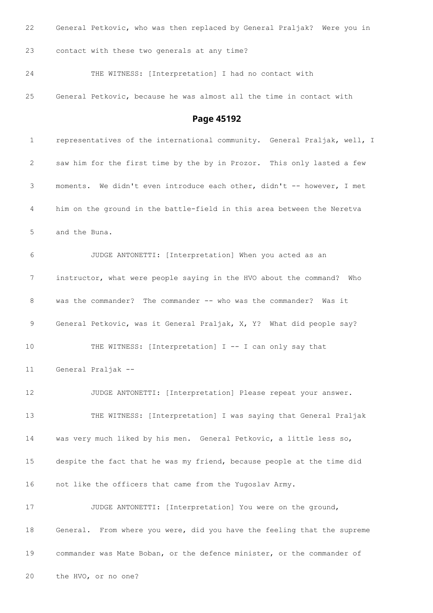| 22           | General Petkovic, who was then replaced by General Praljak? Were you in  |
|--------------|--------------------------------------------------------------------------|
| 23           | contact with these two generals at any time?                             |
| 24           | THE WITNESS: [Interpretation] I had no contact with                      |
| 25           | General Petkovic, because he was almost all the time in contact with     |
|              | Page 45192                                                               |
| $\mathbf{1}$ | representatives of the international community. General Praljak, well, I |
| 2            | saw him for the first time by the by in Prozor. This only lasted a few   |
| 3            | moments. We didn't even introduce each other, didn't -- however, I met   |
| 4            | him on the ground in the battle-field in this area between the Neretva   |
| 5            | and the Buna.                                                            |
| 6            | JUDGE ANTONETTI: [Interpretation] When you acted as an                   |
| 7            | instructor, what were people saying in the HVO about the command?<br>Who |
| 8            | was the commander? The commander -- who was the commander? Was it        |
| 9            | General Petkovic, was it General Praljak, X, Y? What did people say?     |
| 10           | THE WITNESS: [Interpretation] I -- I can only say that                   |
| 11           | General Praljak --                                                       |
| 12           | JUDGE ANTONETTI: [Interpretation] Please repeat your answer.             |
| 13           | THE WITNESS: [Interpretation] I was saying that General Praljak          |
| 14           | was very much liked by his men. General Petkovic, a little less so,      |
| 15           | despite the fact that he was my friend, because people at the time did   |
| 16           | not like the officers that came from the Yugoslav Army.                  |
| 17           | JUDGE ANTONETTI: [Interpretation] You were on the ground,                |
| 18           | General. From where you were, did you have the feeling that the supreme  |
| 19           | commander was Mate Boban, or the defence minister, or the commander of   |
| 20           | the HVO, or no one?                                                      |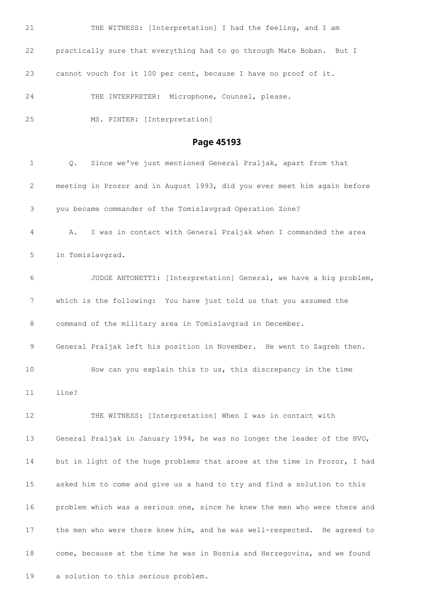21 THE WITNESS: [Interpretation] I had the feeling, and I am practically sure that everything had to go through Mate Boban. But I cannot vouch for it 100 per cent, because I have no proof of it. THE INTERPRETER: Microphone, Counsel, please. MS. PINTER: [Interpretation] **Page 45193** Q. Since we've just mentioned General Praljak, apart from that meeting in Prozor and in August 1993, did you ever meet him again before you became commander of the Tomislavgrad Operation Zone? A. I was in contact with General Praljak when I commanded the area in Tomislavgrad. JUDGE ANTONETTI: [Interpretation] General, we have a big problem, which is the following: You have just told us that you assumed the command of the military area in Tomislavgrad in December. General Praljak left his position in November. He went to Zagreb then. How can you explain this to us, this discrepancy in the time line? THE WITNESS: [Interpretation] When I was in contact with General Praljak in January 1994, he was no longer the leader of the HVO, but in light of the huge problems that arose at the time in Prozor, I had asked him to come and give us a hand to try and find a solution to this problem which was a serious one, since he knew the men who were there and the men who were there knew him, and he was well-respected. He agreed to come, because at the time he was in Bosnia and Herzegovina, and we found a solution to this serious problem.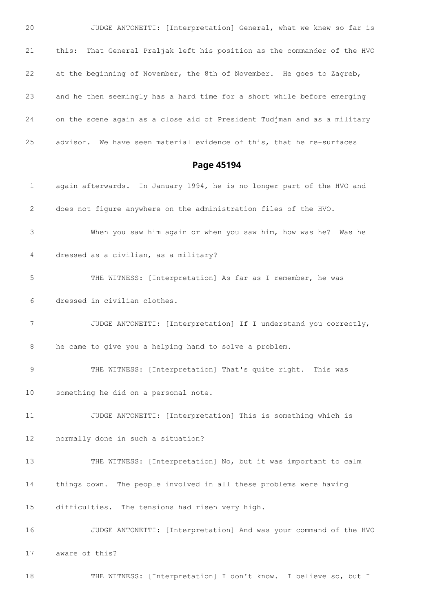JUDGE ANTONETTI: [Interpretation] General, what we knew so far is this: That General Praljak left his position as the commander of the HVO at the beginning of November, the 8th of November. He goes to Zagreb, and he then seemingly has a hard time for a short while before emerging on the scene again as a close aid of President Tudjman and as a military advisor. We have seen material evidence of this, that he re-surfaces

**Page 45194**

 again afterwards. In January 1994, he is no longer part of the HVO and does not figure anywhere on the administration files of the HVO. When you saw him again or when you saw him, how was he? Was he dressed as a civilian, as a military? THE WITNESS: [Interpretation] As far as I remember, he was dressed in civilian clothes. JUDGE ANTONETTI: [Interpretation] If I understand you correctly, he came to give you a helping hand to solve a problem. THE WITNESS: [Interpretation] That's quite right. This was something he did on a personal note. JUDGE ANTONETTI: [Interpretation] This is something which is normally done in such a situation? THE WITNESS: [Interpretation] No, but it was important to calm things down. The people involved in all these problems were having difficulties. The tensions had risen very high. JUDGE ANTONETTI: [Interpretation] And was your command of the HVO aware of this?

THE WITNESS: [Interpretation] I don't know. I believe so, but I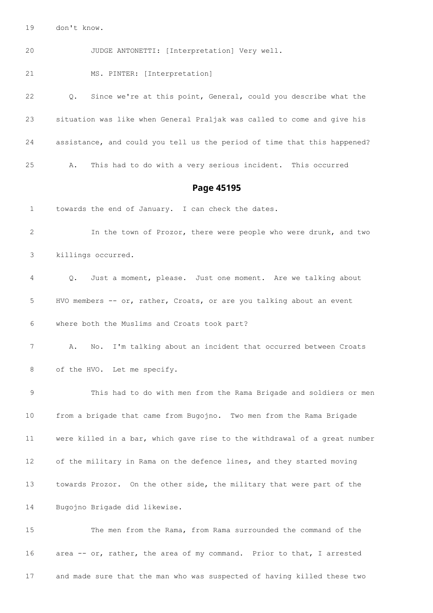don't know.

JUDGE ANTONETTI: [Interpretation] Very well.

MS. PINTER: [Interpretation]

 Q. Since we're at this point, General, could you describe what the situation was like when General Praljak was called to come and give his assistance, and could you tell us the period of time that this happened? A. This had to do with a very serious incident. This occurred

#### **Page 45195**

towards the end of January. I can check the dates.

 In the town of Prozor, there were people who were drunk, and two killings occurred.

 Q. Just a moment, please. Just one moment. Are we talking about HVO members -- or, rather, Croats, or are you talking about an event where both the Muslims and Croats took part?

 A. No. I'm talking about an incident that occurred between Croats 8 of the HVO. Let me specify.

 This had to do with men from the Rama Brigade and soldiers or men from a brigade that came from Bugojno. Two men from the Rama Brigade were killed in a bar, which gave rise to the withdrawal of a great number of the military in Rama on the defence lines, and they started moving towards Prozor. On the other side, the military that were part of the Bugojno Brigade did likewise.

 The men from the Rama, from Rama surrounded the command of the area -- or, rather, the area of my command. Prior to that, I arrested and made sure that the man who was suspected of having killed these two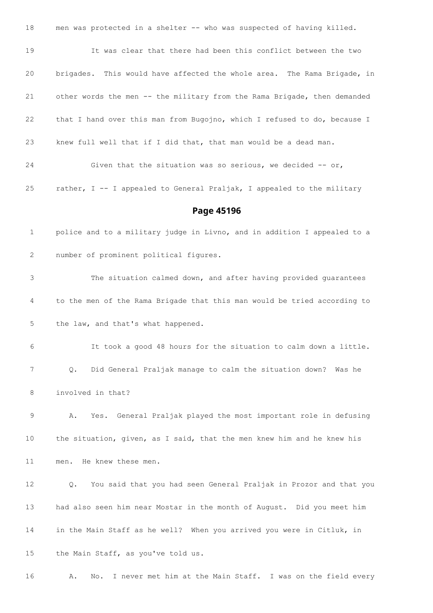men was protected in a shelter -- who was suspected of having killed. It was clear that there had been this conflict between the two brigades. This would have affected the whole area. The Rama Brigade, in other words the men -- the military from the Rama Brigade, then demanded that I hand over this man from Bugojno, which I refused to do, because I knew full well that if I did that, that man would be a dead man. 24 Given that the situation was so serious, we decided -- or, rather, I -- I appealed to General Praljak, I appealed to the military **Page 45196** police and to a military judge in Livno, and in addition I appealed to a number of prominent political figures. The situation calmed down, and after having provided guarantees to the men of the Rama Brigade that this man would be tried according to the law, and that's what happened. It took a good 48 hours for the situation to calm down a little. Q. Did General Praljak manage to calm the situation down? Was he involved in that? A. Yes. General Praljak played the most important role in defusing the situation, given, as I said, that the men knew him and he knew his men. He knew these men. Q. You said that you had seen General Praljak in Prozor and that you had also seen him near Mostar in the month of August. Did you meet him in the Main Staff as he well? When you arrived you were in Citluk, in the Main Staff, as you've told us. A. No. I never met him at the Main Staff. I was on the field every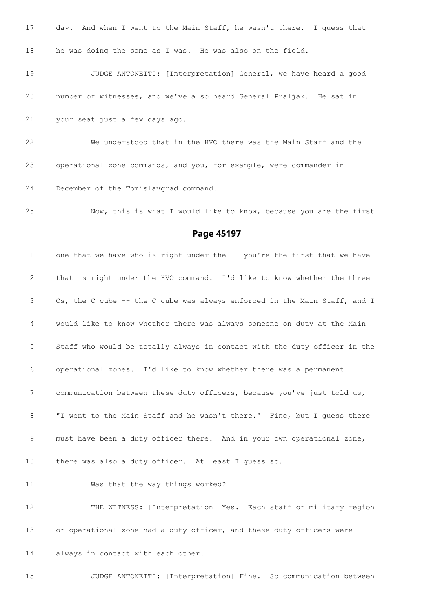| 17 | day. And when I went to the Main Staff, he wasn't there. I quess that |
|----|-----------------------------------------------------------------------|
| 18 | he was doing the same as I was. He was also on the field.             |
| 19 | JUDGE ANTONETTI: [Interpretation] General, we have heard a good       |
| 20 | number of witnesses, and we've also heard General Praljak. He sat in  |
| 21 | your seat just a few days ago.                                        |
| 22 | We understood that in the HVO there was the Main Staff and the        |
| 23 | operational zone commands, and you, for example, were commander in    |
| 24 | December of the Tomislavgrad command.                                 |

Now, this is what I would like to know, because you are the first

#### **Page 45197**

1 one that we have who is right under the -- you're the first that we have that is right under the HVO command. I'd like to know whether the three Cs, the C cube -- the C cube was always enforced in the Main Staff, and I would like to know whether there was always someone on duty at the Main Staff who would be totally always in contact with the duty officer in the operational zones. I'd like to know whether there was a permanent communication between these duty officers, because you've just told us, "I went to the Main Staff and he wasn't there." Fine, but I guess there 9 must have been a duty officer there. And in your own operational zone, there was also a duty officer. At least I guess so. Was that the way things worked?

 THE WITNESS: [Interpretation] Yes. Each staff or military region or operational zone had a duty officer, and these duty officers were always in contact with each other.

JUDGE ANTONETTI: [Interpretation] Fine. So communication between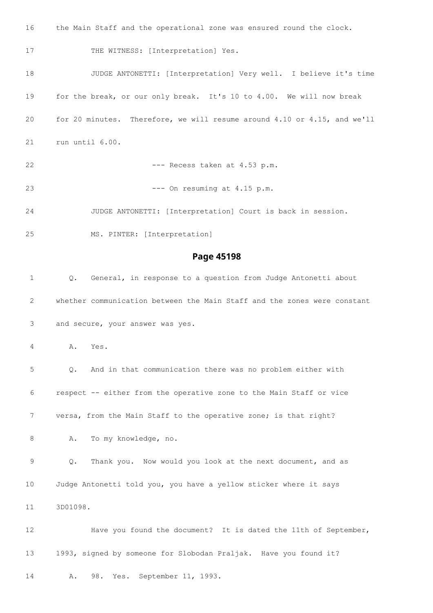the Main Staff and the operational zone was ensured round the clock. 17 THE WITNESS: [Interpretation] Yes. JUDGE ANTONETTI: [Interpretation] Very well. I believe it's time for the break, or our only break. It's 10 to 4.00. We will now break for 20 minutes. Therefore, we will resume around 4.10 or 4.15, and we'll run until 6.00. 22 --- Recess taken at 4.53 p.m. --- On resuming at 4.15 p.m. JUDGE ANTONETTI: [Interpretation] Court is back in session. MS. PINTER: [Interpretation] **Page 45198** Q. General, in response to a question from Judge Antonetti about whether communication between the Main Staff and the zones were constant and secure, your answer was yes. A. Yes. Q. And in that communication there was no problem either with respect -- either from the operative zone to the Main Staff or vice versa, from the Main Staff to the operative zone; is that right? 8 A. To my knowledge, no. Q. Thank you. Now would you look at the next document, and as Judge Antonetti told you, you have a yellow sticker where it says 3D01098. Have you found the document? It is dated the 11th of September, 1993, signed by someone for Slobodan Praljak. Have you found it? A. 98. Yes. September 11, 1993.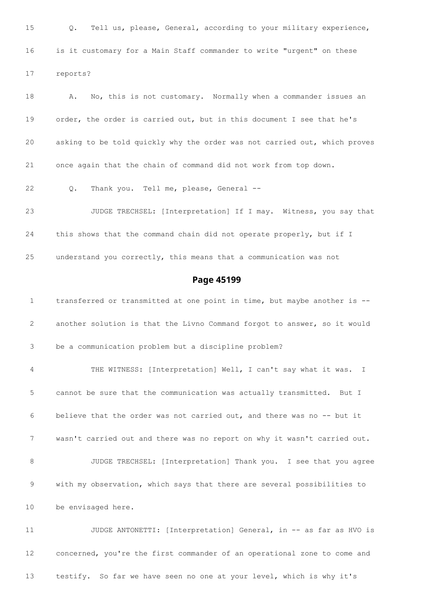Q. Tell us, please, General, according to your military experience, is it customary for a Main Staff commander to write "urgent" on these reports? 18 A. No, this is not customary. Normally when a commander issues an order, the order is carried out, but in this document I see that he's asking to be told quickly why the order was not carried out, which proves once again that the chain of command did not work from top down. Q. Thank you. Tell me, please, General -- JUDGE TRECHSEL: [Interpretation] If I may. Witness, you say that this shows that the command chain did not operate properly, but if I understand you correctly, this means that a communication was not **Page 45199** transferred or transmitted at one point in time, but maybe another is -- another solution is that the Livno Command forgot to answer, so it would be a communication problem but a discipline problem? THE WITNESS: [Interpretation] Well, I can't say what it was. I cannot be sure that the communication was actually transmitted. But I believe that the order was not carried out, and there was no -- but it wasn't carried out and there was no report on why it wasn't carried out. JUDGE TRECHSEL: [Interpretation] Thank you. I see that you agree with my observation, which says that there are several possibilities to be envisaged here.

 JUDGE ANTONETTI: [Interpretation] General, in -- as far as HVO is concerned, you're the first commander of an operational zone to come and testify. So far we have seen no one at your level, which is why it's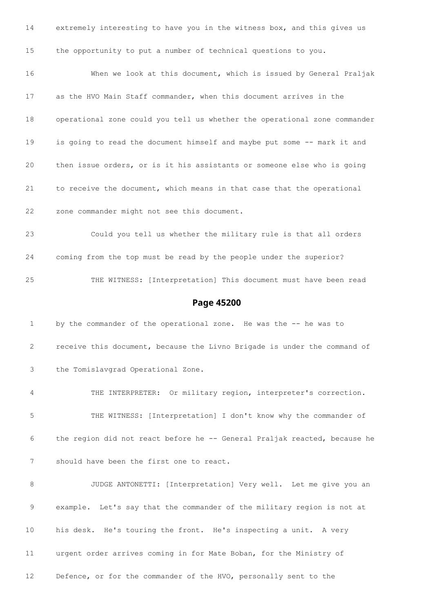extremely interesting to have you in the witness box, and this gives us the opportunity to put a number of technical questions to you. When we look at this document, which is issued by General Praljak as the HVO Main Staff commander, when this document arrives in the operational zone could you tell us whether the operational zone commander is going to read the document himself and maybe put some -- mark it and then issue orders, or is it his assistants or someone else who is going to receive the document, which means in that case that the operational zone commander might not see this document. Could you tell us whether the military rule is that all orders coming from the top must be read by the people under the superior? THE WITNESS: [Interpretation] This document must have been read **Page 45200** 1 by the commander of the operational zone. He was the -- he was to receive this document, because the Livno Brigade is under the command of the Tomislavgrad Operational Zone.

 THE INTERPRETER: Or military region, interpreter's correction. THE WITNESS: [Interpretation] I don't know why the commander of the region did not react before he -- General Praljak reacted, because he should have been the first one to react.

 JUDGE ANTONETTI: [Interpretation] Very well. Let me give you an example. Let's say that the commander of the military region is not at his desk. He's touring the front. He's inspecting a unit. A very urgent order arrives coming in for Mate Boban, for the Ministry of Defence, or for the commander of the HVO, personally sent to the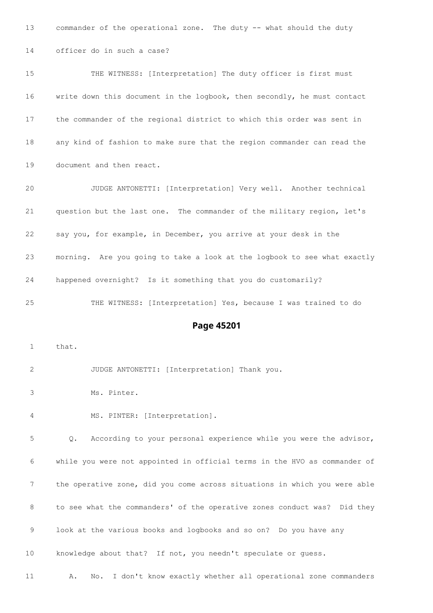commander of the operational zone. The duty -- what should the duty officer do in such a case? THE WITNESS: [Interpretation] The duty officer is first must write down this document in the logbook, then secondly, he must contact the commander of the regional district to which this order was sent in any kind of fashion to make sure that the region commander can read the document and then react. JUDGE ANTONETTI: [Interpretation] Very well. Another technical question but the last one. The commander of the military region, let's say you, for example, in December, you arrive at your desk in the morning. Are you going to take a look at the logbook to see what exactly happened overnight? Is it something that you do customarily? THE WITNESS: [Interpretation] Yes, because I was trained to do **Page 45201** that. JUDGE ANTONETTI: [Interpretation] Thank you. Ms. Pinter. MS. PINTER: [Interpretation]. Q. According to your personal experience while you were the advisor, while you were not appointed in official terms in the HVO as commander of

 the operative zone, did you come across situations in which you were able to see what the commanders' of the operative zones conduct was? Did they look at the various books and logbooks and so on? Do you have any knowledge about that? If not, you needn't speculate or guess.

A. No. I don't know exactly whether all operational zone commanders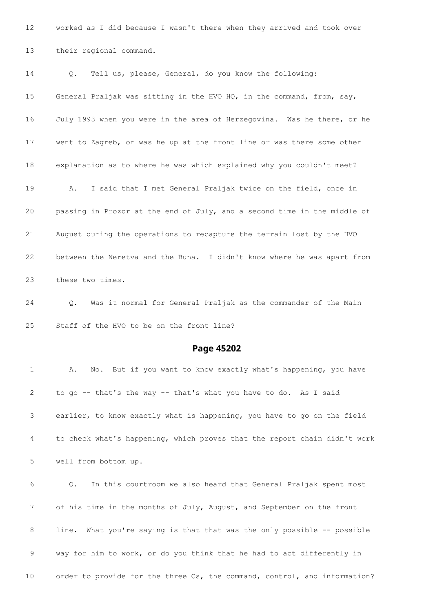worked as I did because I wasn't there when they arrived and took over their regional command.

 Q. Tell us, please, General, do you know the following: General Praljak was sitting in the HVO HQ, in the command, from, say, July 1993 when you were in the area of Herzegovina. Was he there, or he went to Zagreb, or was he up at the front line or was there some other explanation as to where he was which explained why you couldn't meet? A. I said that I met General Praljak twice on the field, once in passing in Prozor at the end of July, and a second time in the middle of August during the operations to recapture the terrain lost by the HVO between the Neretva and the Buna. I didn't know where he was apart from these two times.

 Q. Was it normal for General Praljak as the commander of the Main Staff of the HVO to be on the front line?

#### **Page 45202**

 A. No. But if you want to know exactly what's happening, you have to go -- that's the way -- that's what you have to do. As I said earlier, to know exactly what is happening, you have to go on the field to check what's happening, which proves that the report chain didn't work well from bottom up.

 Q. In this courtroom we also heard that General Praljak spent most of his time in the months of July, August, and September on the front 8 line. What you're saying is that that was the only possible -- possible way for him to work, or do you think that he had to act differently in order to provide for the three Cs, the command, control, and information?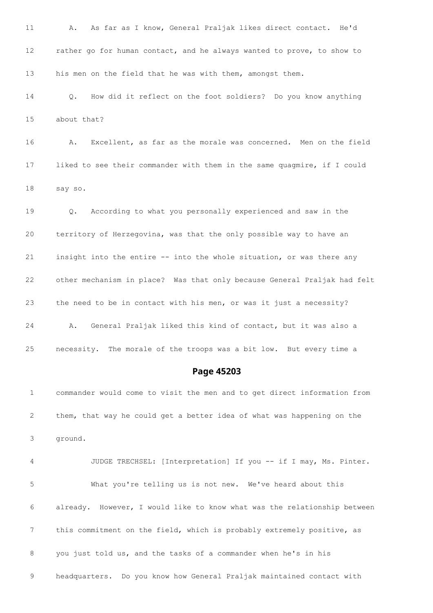A. As far as I know, General Praljak likes direct contact. He'd rather go for human contact, and he always wanted to prove, to show to his men on the field that he was with them, amongst them. Q. How did it reflect on the foot soldiers? Do you know anything about that? A. Excellent, as far as the morale was concerned. Men on the field liked to see their commander with them in the same quagmire, if I could say so. Q. According to what you personally experienced and saw in the territory of Herzegovina, was that the only possible way to have an insight into the entire -- into the whole situation, or was there any other mechanism in place? Was that only because General Praljak had felt the need to be in contact with his men, or was it just a necessity? A. General Praljak liked this kind of contact, but it was also a necessity. The morale of the troops was a bit low. But every time a

**Page 45203**

 commander would come to visit the men and to get direct information from them, that way he could get a better idea of what was happening on the ground.

 JUDGE TRECHSEL: [Interpretation] If you -- if I may, Ms. Pinter. What you're telling us is not new. We've heard about this already. However, I would like to know what was the relationship between this commitment on the field, which is probably extremely positive, as you just told us, and the tasks of a commander when he's in his headquarters. Do you know how General Praljak maintained contact with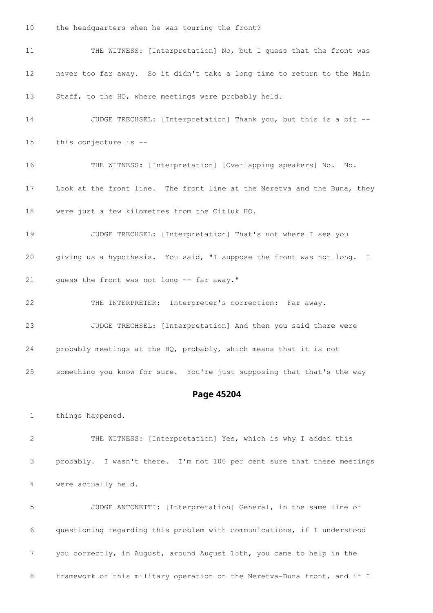the headquarters when he was touring the front?

 THE WITNESS: [Interpretation] No, but I guess that the front was never too far away. So it didn't take a long time to return to the Main Staff, to the HQ, where meetings were probably held. JUDGE TRECHSEL: [Interpretation] Thank you, but this is a bit -- this conjecture is -- THE WITNESS: [Interpretation] [Overlapping speakers] No. No. Look at the front line. The front line at the Neretva and the Buna, they were just a few kilometres from the Citluk HQ. JUDGE TRECHSEL: [Interpretation] That's not where I see you

 giving us a hypothesis. You said, "I suppose the front was not long. I guess the front was not long -- far away."

 THE INTERPRETER: Interpreter's correction: Far away. JUDGE TRECHSEL: [Interpretation] And then you said there were probably meetings at the HQ, probably, which means that it is not something you know for sure. You're just supposing that that's the way

## **Page 45204**

things happened.

 THE WITNESS: [Interpretation] Yes, which is why I added this probably. I wasn't there. I'm not 100 per cent sure that these meetings were actually held.

 JUDGE ANTONETTI: [Interpretation] General, in the same line of questioning regarding this problem with communications, if I understood you correctly, in August, around August 15th, you came to help in the 8 framework of this military operation on the Neretva-Buna front, and if I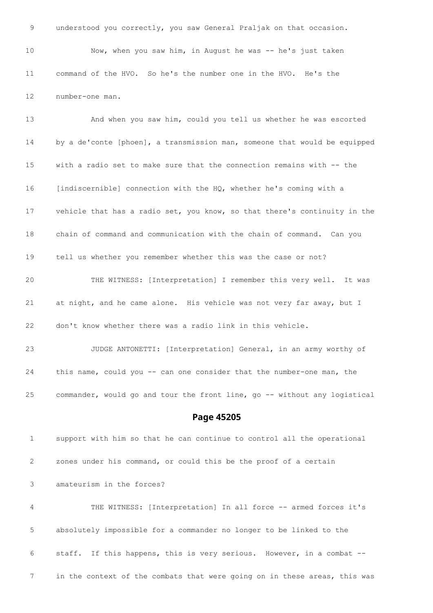understood you correctly, you saw General Praljak on that occasion. Now, when you saw him, in August he was -- he's just taken command of the HVO. So he's the number one in the HVO. He's the number-one man.

 And when you saw him, could you tell us whether he was escorted by a de'conte [phoen], a transmission man, someone that would be equipped with a radio set to make sure that the connection remains with -- the [indiscernible] connection with the HQ, whether he's coming with a vehicle that has a radio set, you know, so that there's continuity in the chain of command and communication with the chain of command. Can you tell us whether you remember whether this was the case or not? THE WITNESS: [Interpretation] I remember this very well. It was at night, and he came alone. His vehicle was not very far away, but I don't know whether there was a radio link in this vehicle. JUDGE ANTONETTI: [Interpretation] General, in an army worthy of this name, could you -- can one consider that the number-one man, the

commander, would go and tour the front line, go -- without any logistical

#### **Page 45205**

 support with him so that he can continue to control all the operational zones under his command, or could this be the proof of a certain amateurism in the forces?

 THE WITNESS: [Interpretation] In all force -- armed forces it's absolutely impossible for a commander no longer to be linked to the staff. If this happens, this is very serious. However, in a combat -- in the context of the combats that were going on in these areas, this was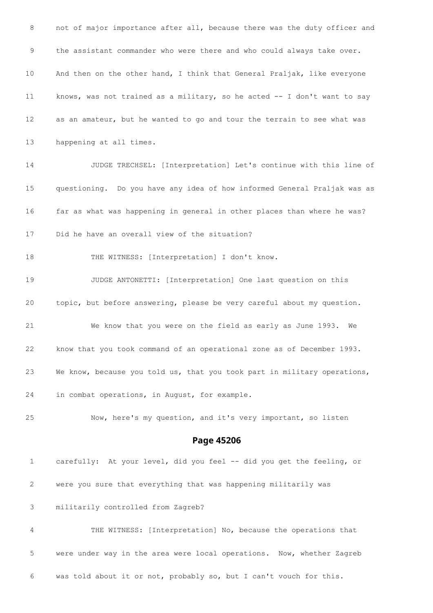8 not of major importance after all, because there was the duty officer and the assistant commander who were there and who could always take over. And then on the other hand, I think that General Praljak, like everyone knows, was not trained as a military, so he acted -- I don't want to say as an amateur, but he wanted to go and tour the terrain to see what was happening at all times. JUDGE TRECHSEL: [Interpretation] Let's continue with this line of questioning. Do you have any idea of how informed General Praljak was as far as what was happening in general in other places than where he was? Did he have an overall view of the situation? 18 THE WITNESS: [Interpretation] I don't know. JUDGE ANTONETTI: [Interpretation] One last question on this topic, but before answering, please be very careful about my question. We know that you were on the field as early as June 1993. We know that you took command of an operational zone as of December 1993. We know, because you told us, that you took part in military operations, in combat operations, in August, for example. Now, here's my question, and it's very important, so listen **Page 45206** carefully: At your level, did you feel -- did you get the feeling, or were you sure that everything that was happening militarily was

militarily controlled from Zagreb?

 THE WITNESS: [Interpretation] No, because the operations that were under way in the area were local operations. Now, whether Zagreb was told about it or not, probably so, but I can't vouch for this.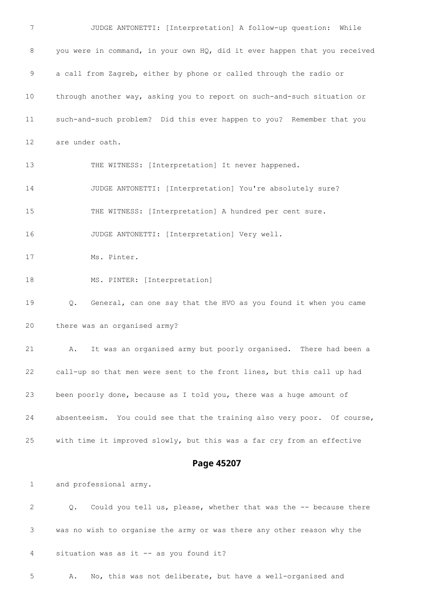| $7\phantom{.0}$ | JUDGE ANTONETTI: [Interpretation] A follow-up question: While             |
|-----------------|---------------------------------------------------------------------------|
| 8               | you were in command, in your own HQ, did it ever happen that you received |
| 9               | a call from Zagreb, either by phone or called through the radio or        |
| 10              | through another way, asking you to report on such-and-such situation or   |
| 11              | such-and-such problem? Did this ever happen to you? Remember that you     |
| 12              | are under oath.                                                           |
| 13              | THE WITNESS: [Interpretation] It never happened.                          |
| 14              | JUDGE ANTONETTI: [Interpretation] You're absolutely sure?                 |
| 15              | THE WITNESS: [Interpretation] A hundred per cent sure.                    |
| 16              | JUDGE ANTONETTI: [Interpretation] Very well.                              |
| 17              | Ms. Pinter.                                                               |
| 18              | MS. PINTER: [Interpretation]                                              |
| 19              | General, can one say that the HVO as you found it when you came<br>Q.     |
| 20              | there was an organised army?                                              |
| 21              | It was an organised army but poorly organised. There had been a<br>А.     |
| 22              | call-up so that men were sent to the front lines, but this call up had    |
| 23              | been poorly done, because as I told you, there was a huge amount of       |
| 24              | absenteeism. You could see that the training also very poor. Of course,   |
| 25              | with time it improved slowly, but this was a far cry from an effective    |
|                 | Page 45207                                                                |
| $\mathbf{1}$    | and professional army.                                                    |
| 2               | Could you tell us, please, whether that was the -- because there<br>Q.    |
| 3               | was no wish to organise the army or was there any other reason why the    |
| 4               | situation was as it -- as you found it?                                   |

A. No, this was not deliberate, but have a well-organised and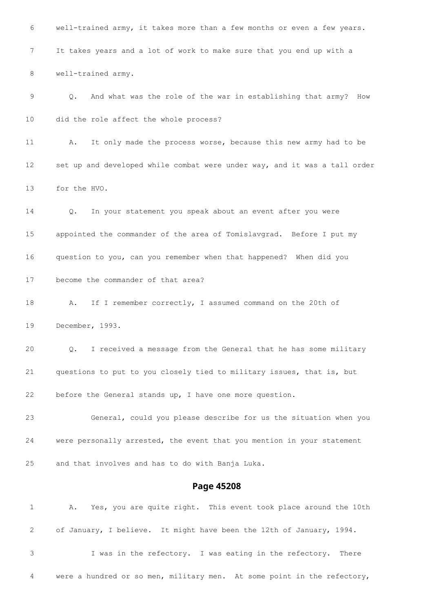well-trained army, it takes more than a few months or even a few years. It takes years and a lot of work to make sure that you end up with a well-trained army. Q. And what was the role of the war in establishing that army? How did the role affect the whole process? A. It only made the process worse, because this new army had to be set up and developed while combat were under way, and it was a tall order for the HVO. Q. In your statement you speak about an event after you were appointed the commander of the area of Tomislavgrad. Before I put my question to you, can you remember when that happened? When did you become the commander of that area? 18 A. If I remember correctly, I assumed command on the 20th of December, 1993. Q. I received a message from the General that he has some military questions to put to you closely tied to military issues, that is, but before the General stands up, I have one more question. General, could you please describe for us the situation when you were personally arrested, the event that you mention in your statement and that involves and has to do with Banja Luka. **Page 45208** A. Yes, you are quite right. This event took place around the 10th of January, I believe. It might have been the 12th of January, 1994. I was in the refectory. I was eating in the refectory. There

were a hundred or so men, military men. At some point in the refectory,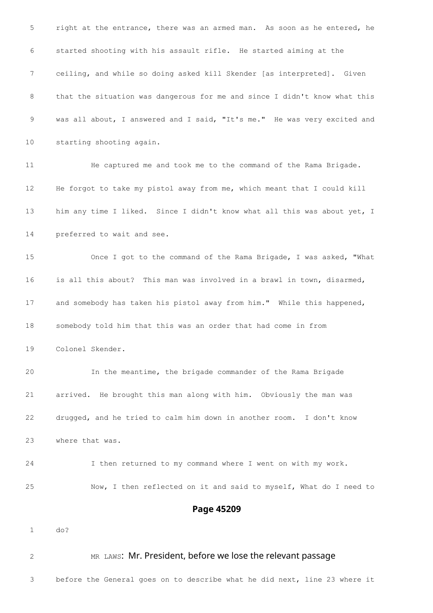right at the entrance, there was an armed man. As soon as he entered, he started shooting with his assault rifle. He started aiming at the ceiling, and while so doing asked kill Skender [as interpreted]. Given that the situation was dangerous for me and since I didn't know what this was all about, I answered and I said, "It's me." He was very excited and starting shooting again. He captured me and took me to the command of the Rama Brigade. He forgot to take my pistol away from me, which meant that I could kill 13 him any time I liked. Since I didn't know what all this was about yet, I preferred to wait and see. Once I got to the command of the Rama Brigade, I was asked, "What is all this about? This man was involved in a brawl in town, disarmed, and somebody has taken his pistol away from him." While this happened, somebody told him that this was an order that had come in from Colonel Skender. In the meantime, the brigade commander of the Rama Brigade arrived. He brought this man along with him. Obviously the man was drugged, and he tried to calm him down in another room. I don't know where that was. I then returned to my command where I went on with my work. Now, I then reflected on it and said to myself, What do I need to **Page 45209** do? 2 MR LAWS: Mr. President, before we lose the relevant passage

before the General goes on to describe what he did next, line 23 where it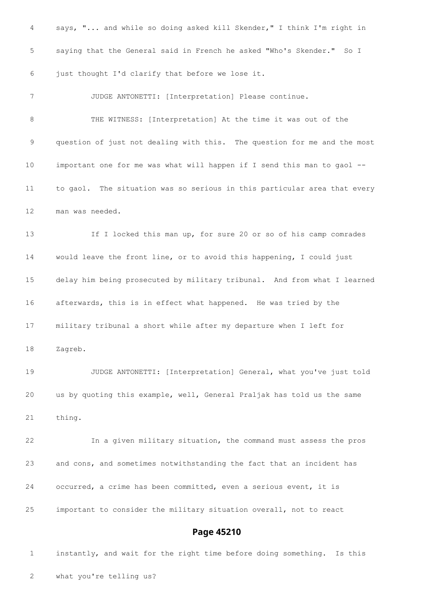says, "... and while so doing asked kill Skender," I think I'm right in saying that the General said in French he asked "Who's Skender." So I just thought I'd clarify that before we lose it. JUDGE ANTONETTI: [Interpretation] Please continue. THE WITNESS: [Interpretation] At the time it was out of the question of just not dealing with this. The question for me and the most important one for me was what will happen if I send this man to gaol -- to gaol. The situation was so serious in this particular area that every man was needed. If I locked this man up, for sure 20 or so of his camp comrades would leave the front line, or to avoid this happening, I could just delay him being prosecuted by military tribunal. And from what I learned afterwards, this is in effect what happened. He was tried by the military tribunal a short while after my departure when I left for Zagreb. JUDGE ANTONETTI: [Interpretation] General, what you've just told us by quoting this example, well, General Praljak has told us the same thing. In a given military situation, the command must assess the pros and cons, and sometimes notwithstanding the fact that an incident has occurred, a crime has been committed, even a serious event, it is important to consider the military situation overall, not to react **Page 45210**

 instantly, and wait for the right time before doing something. Is this what you're telling us?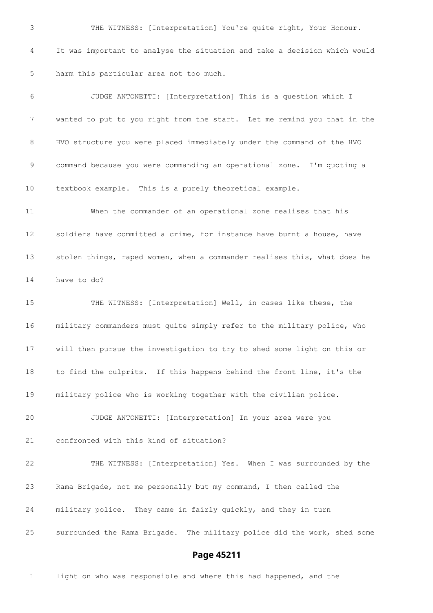THE WITNESS: [Interpretation] You're quite right, Your Honour. It was important to analyse the situation and take a decision which would harm this particular area not too much. JUDGE ANTONETTI: [Interpretation] This is a question which I wanted to put to you right from the start. Let me remind you that in the HVO structure you were placed immediately under the command of the HVO command because you were commanding an operational zone. I'm quoting a textbook example. This is a purely theoretical example. When the commander of an operational zone realises that his soldiers have committed a crime, for instance have burnt a house, have stolen things, raped women, when a commander realises this, what does he have to do? THE WITNESS: [Interpretation] Well, in cases like these, the military commanders must quite simply refer to the military police, who will then pursue the investigation to try to shed some light on this or to find the culprits. If this happens behind the front line, it's the military police who is working together with the civilian police. JUDGE ANTONETTI: [Interpretation] In your area were you confronted with this kind of situation? THE WITNESS: [Interpretation] Yes. When I was surrounded by the Rama Brigade, not me personally but my command, I then called the military police. They came in fairly quickly, and they in turn surrounded the Rama Brigade. The military police did the work, shed some

# **Page 45211**

light on who was responsible and where this had happened, and the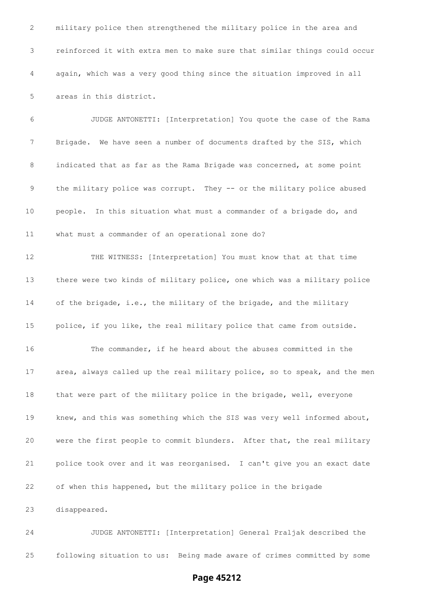military police then strengthened the military police in the area and reinforced it with extra men to make sure that similar things could occur again, which was a very good thing since the situation improved in all areas in this district.

 JUDGE ANTONETTI: [Interpretation] You quote the case of the Rama Brigade. We have seen a number of documents drafted by the SIS, which indicated that as far as the Rama Brigade was concerned, at some point the military police was corrupt. They -- or the military police abused people. In this situation what must a commander of a brigade do, and what must a commander of an operational zone do?

 THE WITNESS: [Interpretation] You must know that at that time there were two kinds of military police, one which was a military police of the brigade, i.e., the military of the brigade, and the military police, if you like, the real military police that came from outside. The commander, if he heard about the abuses committed in the area, always called up the real military police, so to speak, and the men that were part of the military police in the brigade, well, everyone knew, and this was something which the SIS was very well informed about, were the first people to commit blunders. After that, the real military police took over and it was reorganised. I can't give you an exact date of when this happened, but the military police in the brigade disappeared.

 JUDGE ANTONETTI: [Interpretation] General Praljak described the following situation to us: Being made aware of crimes committed by some

### **Page 45212**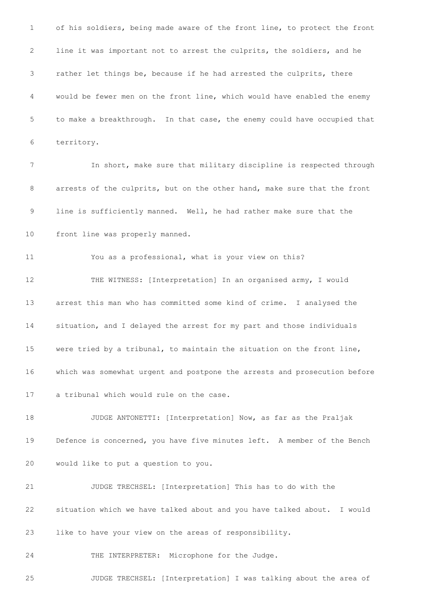of his soldiers, being made aware of the front line, to protect the front line it was important not to arrest the culprits, the soldiers, and he rather let things be, because if he had arrested the culprits, there would be fewer men on the front line, which would have enabled the enemy to make a breakthrough. In that case, the enemy could have occupied that territory. In short, make sure that military discipline is respected through arrests of the culprits, but on the other hand, make sure that the front line is sufficiently manned. Well, he had rather make sure that the front line was properly manned. You as a professional, what is your view on this? 12 THE WITNESS: [Interpretation] In an organised army, I would arrest this man who has committed some kind of crime. I analysed the situation, and I delayed the arrest for my part and those individuals were tried by a tribunal, to maintain the situation on the front line, which was somewhat urgent and postpone the arrests and prosecution before a tribunal which would rule on the case. JUDGE ANTONETTI: [Interpretation] Now, as far as the Praljak Defence is concerned, you have five minutes left. A member of the Bench would like to put a question to you. JUDGE TRECHSEL: [Interpretation] This has to do with the situation which we have talked about and you have talked about. I would like to have your view on the areas of responsibility. THE INTERPRETER: Microphone for the Judge.

JUDGE TRECHSEL: [Interpretation] I was talking about the area of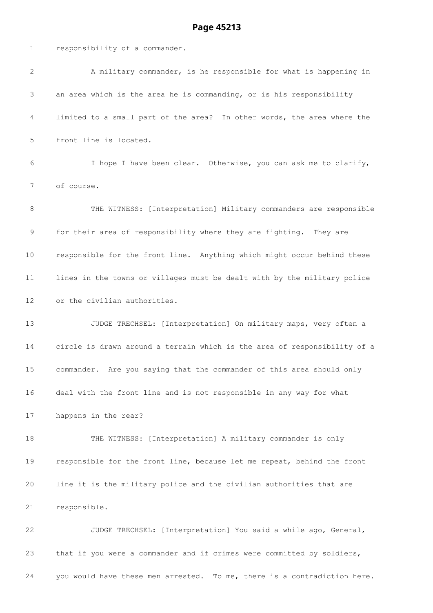#### **Page 45213**

 responsibility of a commander. A military commander, is he responsible for what is happening in an area which is the area he is commanding, or is his responsibility limited to a small part of the area? In other words, the area where the front line is located. I hope I have been clear. Otherwise, you can ask me to clarify, of course. 8 THE WITNESS: [Interpretation] Military commanders are responsible for their area of responsibility where they are fighting. They are responsible for the front line. Anything which might occur behind these lines in the towns or villages must be dealt with by the military police or the civilian authorities. JUDGE TRECHSEL: [Interpretation] On military maps, very often a circle is drawn around a terrain which is the area of responsibility of a commander. Are you saying that the commander of this area should only deal with the front line and is not responsible in any way for what happens in the rear? THE WITNESS: [Interpretation] A military commander is only responsible for the front line, because let me repeat, behind the front line it is the military police and the civilian authorities that are responsible. JUDGE TRECHSEL: [Interpretation] You said a while ago, General, that if you were a commander and if crimes were committed by soldiers,

you would have these men arrested. To me, there is a contradiction here.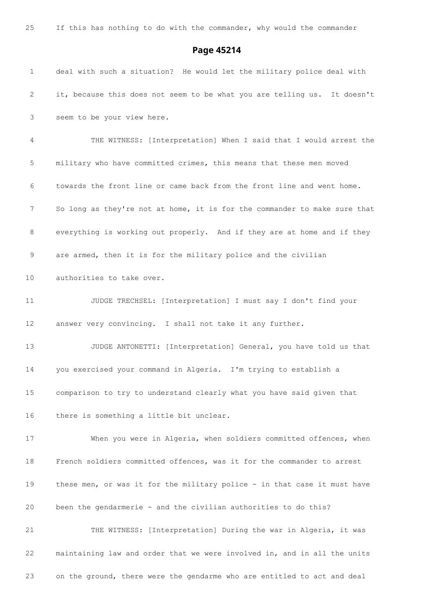#### **Page 45214**

 deal with such a situation? He would let the military police deal with it, because this does not seem to be what you are telling us. It doesn't seem to be your view here. THE WITNESS: [Interpretation] When I said that I would arrest the military who have committed crimes, this means that these men moved towards the front line or came back from the front line and went home. 7 So long as they're not at home, it is for the commander to make sure that everything is working out properly. And if they are at home and if they are armed, then it is for the military police and the civilian authorities to take over. 11 JUDGE TRECHSEL: [Interpretation] I must say I don't find your answer very convincing. I shall not take it any further. JUDGE ANTONETTI: [Interpretation] General, you have told us that you exercised your command in Algeria. I'm trying to establish a comparison to try to understand clearly what you have said given that there is something a little bit unclear. When you were in Algeria, when soldiers committed offences, when French soldiers committed offences, was it for the commander to arrest these men, or was it for the military police - in that case it must have been the gendarmerie - and the civilian authorities to do this? THE WITNESS: [Interpretation] During the war in Algeria, it was maintaining law and order that we were involved in, and in all the units on the ground, there were the gendarme who are entitled to act and deal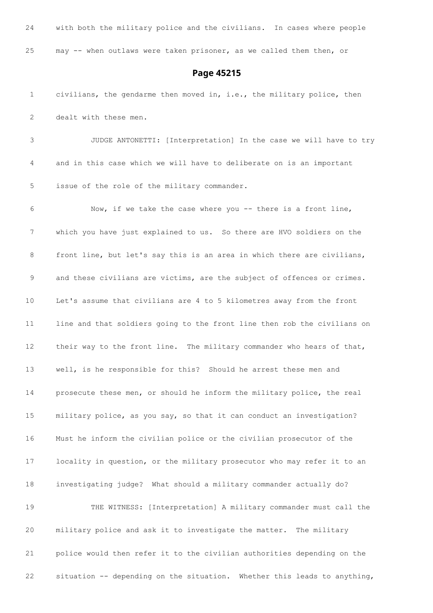| 24           | with both the military police and the civilians. In cases where people   |
|--------------|--------------------------------------------------------------------------|
| 25           | may -- when outlaws were taken prisoner, as we called them then, or      |
|              | Page 45215                                                               |
| $\mathbf{1}$ | civilians, the gendarme then moved in, i.e., the military police, then   |
| 2            | dealt with these men.                                                    |
| 3            | JUDGE ANTONETTI: [Interpretation] In the case we will have to try        |
| 4            | and in this case which we will have to deliberate on is an important     |
| 5            | issue of the role of the military commander.                             |
| 6            | Now, if we take the case where you -- there is a front line,             |
| 7            | which you have just explained to us. So there are HVO soldiers on the    |
| 8            | front line, but let's say this is an area in which there are civilians,  |
| 9            | and these civilians are victims, are the subject of offences or crimes.  |
| 10           | Let's assume that civilians are 4 to 5 kilometres away from the front    |
| 11           | line and that soldiers going to the front line then rob the civilians on |
| 12           | their way to the front line. The military commander who hears of that,   |
| 13           | well, is he responsible for this? Should he arrest these men and         |
| 14           | prosecute these men, or should he inform the military police, the real   |
| 15           | military police, as you say, so that it can conduct an investigation?    |
| 16           | Must he inform the civilian police or the civilian prosecutor of the     |
| 17           | locality in question, or the military prosecutor who may refer it to an  |
| 18           | investigating judge? What should a military commander actually do?       |
| 19           | THE WITNESS: [Interpretation] A military commander must call the         |
| 20           | military police and ask it to investigate the matter.<br>The military    |

 police would then refer it to the civilian authorities depending on the situation -- depending on the situation. Whether this leads to anything,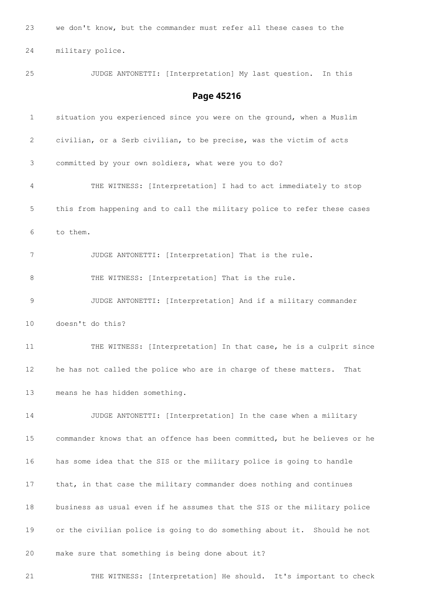we don't know, but the commander must refer all these cases to the military police. JUDGE ANTONETTI: [Interpretation] My last question. In this **Page 45216** situation you experienced since you were on the ground, when a Muslim civilian, or a Serb civilian, to be precise, was the victim of acts committed by your own soldiers, what were you to do? THE WITNESS: [Interpretation] I had to act immediately to stop this from happening and to call the military police to refer these cases to them. JUDGE ANTONETTI: [Interpretation] That is the rule. 8 THE WITNESS: [Interpretation] That is the rule. JUDGE ANTONETTI: [Interpretation] And if a military commander doesn't do this? THE WITNESS: [Interpretation] In that case, he is a culprit since he has not called the police who are in charge of these matters. That means he has hidden something. JUDGE ANTONETTI: [Interpretation] In the case when a military commander knows that an offence has been committed, but he believes or he has some idea that the SIS or the military police is going to handle that, in that case the military commander does nothing and continues business as usual even if he assumes that the SIS or the military police or the civilian police is going to do something about it. Should he not make sure that something is being done about it? THE WITNESS: [Interpretation] He should. It's important to check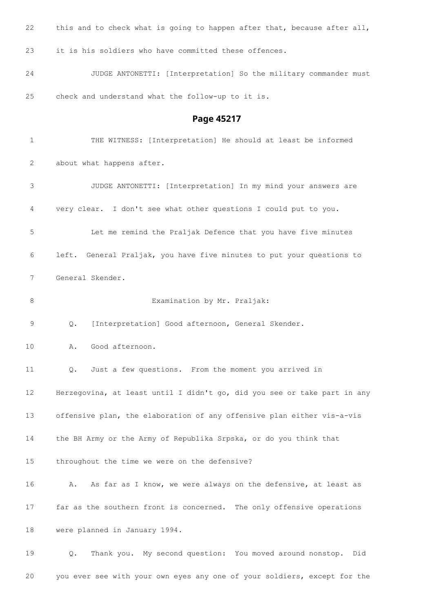22 this and to check what is going to happen after that, because after all, it is his soldiers who have committed these offences. JUDGE ANTONETTI: [Interpretation] So the military commander must check and understand what the follow-up to it is. **Page 45217** THE WITNESS: [Interpretation] He should at least be informed about what happens after. JUDGE ANTONETTI: [Interpretation] In my mind your answers are very clear. I don't see what other questions I could put to you. Let me remind the Praljak Defence that you have five minutes left. General Praljak, you have five minutes to put your questions to General Skender. 8 Examination by Mr. Praljak: Q. [Interpretation] Good afternoon, General Skender. A. Good afternoon. Q. Just a few questions. From the moment you arrived in Herzegovina, at least until I didn't go, did you see or take part in any offensive plan, the elaboration of any offensive plan either vis-a-vis the BH Army or the Army of Republika Srpska, or do you think that

throughout the time we were on the defensive?

 A. As far as I know, we were always on the defensive, at least as far as the southern front is concerned. The only offensive operations were planned in January 1994.

 Q. Thank you. My second question: You moved around nonstop. Did you ever see with your own eyes any one of your soldiers, except for the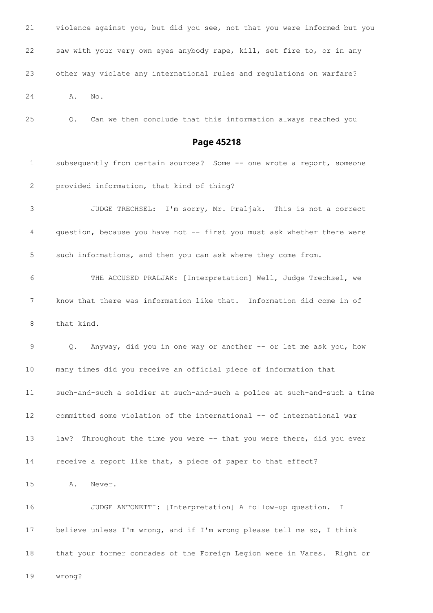| 21 | violence against you, but did you see, not that you were informed but you |
|----|---------------------------------------------------------------------------|
| 22 | saw with your very own eyes anybody rape, kill, set fire to, or in any    |
| 23 | other way violate any international rules and regulations on warfare?     |
| 24 | No.<br>Α.                                                                 |

Q. Can we then conclude that this information always reached you

# **Page 45218**

| 1  | subsequently from certain sources? Some -- one wrote a report, someone           |
|----|----------------------------------------------------------------------------------|
| 2  | provided information, that kind of thing?                                        |
| 3  | JUDGE TRECHSEL: I'm sorry, Mr. Praljak. This is not a correct                    |
| 4  | question, because you have not -- first you must ask whether there were          |
| 5  | such informations, and then you can ask where they come from.                    |
| 6  | THE ACCUSED PRALJAK: [Interpretation] Well, Judge Trechsel, we                   |
| 7  | know that there was information like that. Information did come in of            |
| 8  | that kind.                                                                       |
| 9  | Anyway, did you in one way or another -- or let me ask you, how<br>$Q_{\bullet}$ |
| 10 | many times did you receive an official piece of information that                 |
| 11 | such-and-such a soldier at such-and-such a police at such-and-such a time        |
| 12 | committed some violation of the international -- of international war            |
| 13 | Throughout the time you were -- that you were there, did you ever<br>law?        |
| 14 | receive a report like that, a piece of paper to that effect?                     |
| 15 | Α.<br>Never.                                                                     |
| 16 | JUDGE ANTONETTI: [Interpretation] A follow-up question.<br>I                     |
| 17 | believe unless I'm wrong, and if I'm wrong please tell me so, I think            |
| 18 | that your former comrades of the Foreign Legion were in Vares. Right or          |

wrong?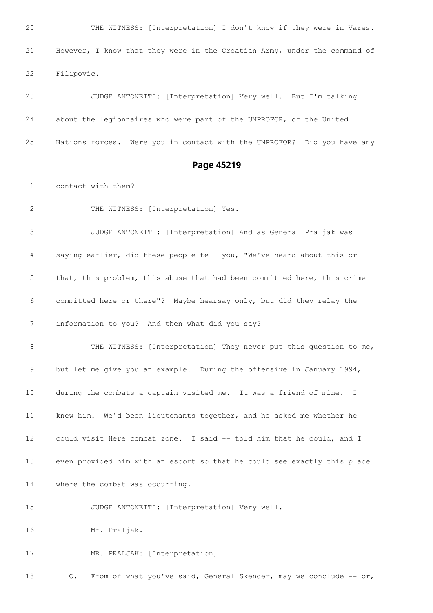THE WITNESS: [Interpretation] I don't know if they were in Vares. However, I know that they were in the Croatian Army, under the command of Filipovic.

 JUDGE ANTONETTI: [Interpretation] Very well. But I'm talking about the legionnaires who were part of the UNPROFOR, of the United Nations forces. Were you in contact with the UNPROFOR? Did you have any

#### **Page 45219**

contact with them?

THE WITNESS: [Interpretation] Yes.

 JUDGE ANTONETTI: [Interpretation] And as General Praljak was saying earlier, did these people tell you, "We've heard about this or that, this problem, this abuse that had been committed here, this crime committed here or there"? Maybe hearsay only, but did they relay the information to you? And then what did you say?

 THE WITNESS: [Interpretation] They never put this question to me, but let me give you an example. During the offensive in January 1994, during the combats a captain visited me. It was a friend of mine. I knew him. We'd been lieutenants together, and he asked me whether he could visit Here combat zone. I said -- told him that he could, and I even provided him with an escort so that he could see exactly this place where the combat was occurring.

JUDGE ANTONETTI: [Interpretation] Very well.

Mr. Praljak.

MR. PRALJAK: [Interpretation]

18 Q. From of what you've said, General Skender, may we conclude -- or,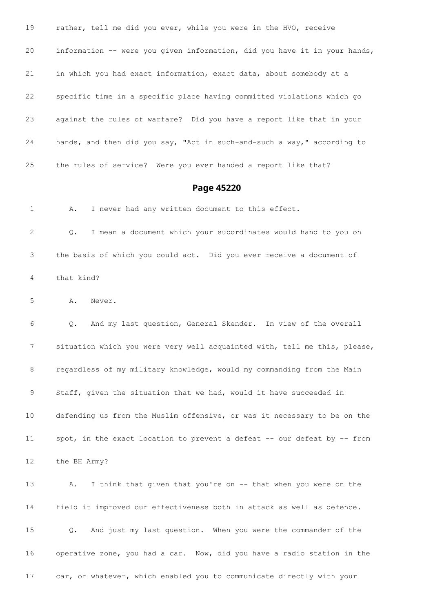rather, tell me did you ever, while you were in the HVO, receive information -- were you given information, did you have it in your hands, in which you had exact information, exact data, about somebody at a specific time in a specific place having committed violations which go against the rules of warfare? Did you have a report like that in your hands, and then did you say, "Act in such-and-such a way," according to the rules of service? Were you ever handed a report like that?

#### **Page 45220**

A. I never had any written document to this effect.

 Q. I mean a document which your subordinates would hand to you on the basis of which you could act. Did you ever receive a document of that kind?

A. Never.

 Q. And my last question, General Skender. In view of the overall situation which you were very well acquainted with, tell me this, please, regardless of my military knowledge, would my commanding from the Main Staff, given the situation that we had, would it have succeeded in defending us from the Muslim offensive, or was it necessary to be on the 11 spot, in the exact location to prevent a defeat -- our defeat by -- from

the BH Army?

 A. I think that given that you're on -- that when you were on the field it improved our effectiveness both in attack as well as defence. Q. And just my last question. When you were the commander of the operative zone, you had a car. Now, did you have a radio station in the car, or whatever, which enabled you to communicate directly with your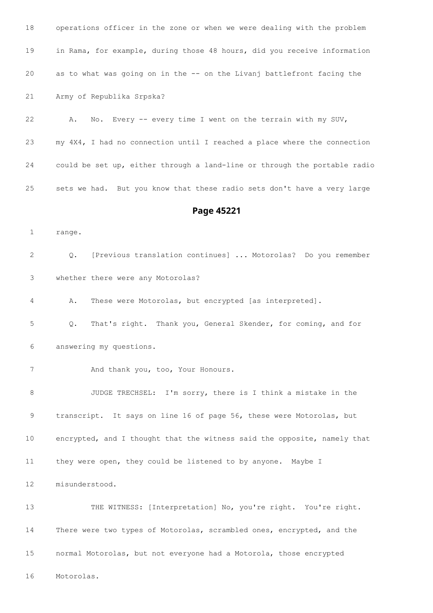| 19                | in Rama, for example, during those 48 hours, did you receive information      |
|-------------------|-------------------------------------------------------------------------------|
| 20                | as to what was going on in the -- on the Livanj battlefront facing the        |
| 21                | Army of Republika Srpska?                                                     |
| 22                | No. Every -- every time I went on the terrain with my SUV,<br>Α.              |
| 23                | my 4X4, I had no connection until I reached a place where the connection      |
| 24                | could be set up, either through a land-line or through the portable radio     |
| 25                | sets we had. But you know that these radio sets don't have a very large       |
|                   | Page 45221                                                                    |
| $\mathbf{1}$      | range.                                                                        |
| 2                 | [Previous translation continues]  Motorolas? Do you remember<br>$Q_{\bullet}$ |
| 3                 | whether there were any Motorolas?                                             |
| 4                 | These were Motorolas, but encrypted [as interpreted].<br>Α.                   |
| 5                 | That's right. Thank you, General Skender, for coming, and for<br>Q.           |
| 6                 | answering my questions.                                                       |
| 7                 | And thank you, too, Your Honours.                                             |
| $\,8\,$           | JUDGE TRECHSEL: I'm sorry, there is I think a mistake in the                  |
| 9                 | transcript. It says on line 16 of page 56, these were Motorolas, but          |
| 10                | encrypted, and I thought that the witness said the opposite, namely that      |
| 11                | they were open, they could be listened to by anyone. Maybe I                  |
| $12 \overline{ }$ | misunderstood.                                                                |
| 13                | THE WITNESS: [Interpretation] No, you're right. You're right.                 |
| 14                | There were two types of Motorolas, scrambled ones, encrypted, and the         |
| 15                | normal Motorolas, but not everyone had a Motorola, those encrypted            |
| 16                | Motorolas.                                                                    |

operations officer in the zone or when we were dealing with the problem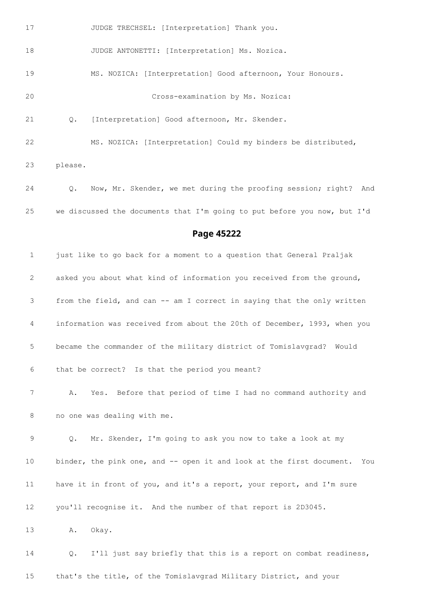17 JUDGE TRECHSEL: [Interpretation] Thank you. 18 JUDGE ANTONETTI: [Interpretation] Ms. Nozica. MS. NOZICA: [Interpretation] Good afternoon, Your Honours. Cross-examination by Ms. Nozica: Q. [Interpretation] Good afternoon, Mr. Skender. MS. NOZICA: [Interpretation] Could my binders be distributed, please. Q. Now, Mr. Skender, we met during the proofing session; right? And we discussed the documents that I'm going to put before you now, but I'd **Page 45222** just like to go back for a moment to a question that General Praljak asked you about what kind of information you received from the ground,

 A. Yes. Before that period of time I had no command authority and no one was dealing with me.

from the field, and can -- am I correct in saying that the only written

information was received from about the 20th of December, 1993, when you

became the commander of the military district of Tomislavgrad? Would

that be correct? Is that the period you meant?

 Q. Mr. Skender, I'm going to ask you now to take a look at my binder, the pink one, and -- open it and look at the first document. You have it in front of you, and it's a report, your report, and I'm sure you'll recognise it. And the number of that report is 2D3045.

A. Okay.

 Q. I'll just say briefly that this is a report on combat readiness, that's the title, of the Tomislavgrad Military District, and your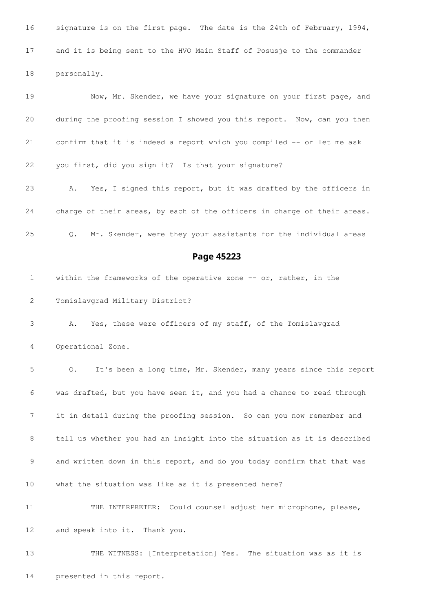signature is on the first page. The date is the 24th of February, 1994, and it is being sent to the HVO Main Staff of Posusje to the commander personally. 19 Now, Mr. Skender, we have your signature on your first page, and during the proofing session I showed you this report. Now, can you then confirm that it is indeed a report which you compiled -- or let me ask you first, did you sign it? Is that your signature? A. Yes, I signed this report, but it was drafted by the officers in charge of their areas, by each of the officers in charge of their areas. Q. Mr. Skender, were they your assistants for the individual areas **Page 45223** 1 within the frameworks of the operative zone -- or, rather, in the Tomislavgrad Military District? A. Yes, these were officers of my staff, of the Tomislavgrad Operational Zone. Q. It's been a long time, Mr. Skender, many years since this report was drafted, but you have seen it, and you had a chance to read through it in detail during the proofing session. So can you now remember and tell us whether you had an insight into the situation as it is described 9 and written down in this report, and do you today confirm that that was what the situation was like as it is presented here? THE INTERPRETER: Could counsel adjust her microphone, please, and speak into it. Thank you. THE WITNESS: [Interpretation] Yes. The situation was as it is presented in this report.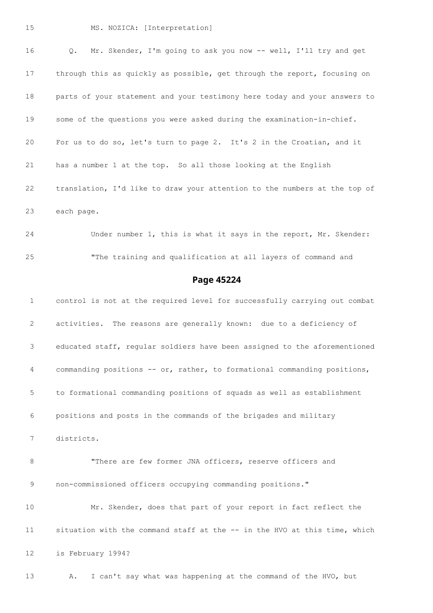#### MS. NOZICA: [Interpretation]

 Q. Mr. Skender, I'm going to ask you now -- well, I'll try and get 17 through this as quickly as possible, get through the report, focusing on parts of your statement and your testimony here today and your answers to some of the questions you were asked during the examination-in-chief. For us to do so, let's turn to page 2. It's 2 in the Croatian, and it has a number 1 at the top. So all those looking at the English translation, I'd like to draw your attention to the numbers at the top of each page.

 Under number 1, this is what it says in the report, Mr. Skender: "The training and qualification at all layers of command and

#### **Page 45224**

 control is not at the required level for successfully carrying out combat activities. The reasons are generally known: due to a deficiency of educated staff, regular soldiers have been assigned to the aforementioned commanding positions -- or, rather, to formational commanding positions, to formational commanding positions of squads as well as establishment positions and posts in the commands of the brigades and military districts. 8 "There are few former JNA officers, reserve officers and non-commissioned officers occupying commanding positions." Mr. Skender, does that part of your report in fact reflect the situation with the command staff at the -- in the HVO at this time, which is February 1994? A. I can't say what was happening at the command of the HVO, but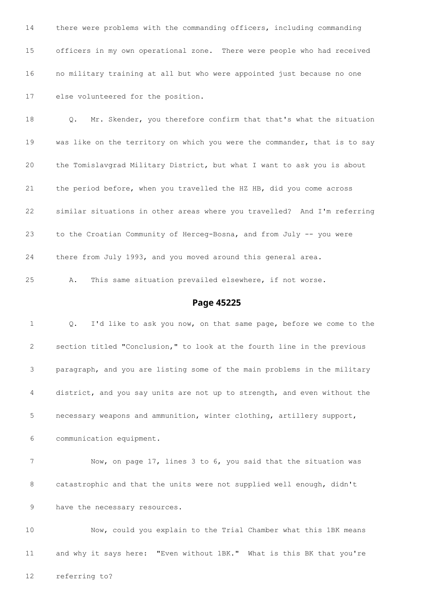there were problems with the commanding officers, including commanding officers in my own operational zone. There were people who had received no military training at all but who were appointed just because no one else volunteered for the position.

 Q. Mr. Skender, you therefore confirm that that's what the situation was like on the territory on which you were the commander, that is to say the Tomislavgrad Military District, but what I want to ask you is about the period before, when you travelled the HZ HB, did you come across similar situations in other areas where you travelled? And I'm referring to the Croatian Community of Herceg-Bosna, and from July -- you were there from July 1993, and you moved around this general area.

A. This same situation prevailed elsewhere, if not worse.

#### **Page 45225**

 Q. I'd like to ask you now, on that same page, before we come to the section titled "Conclusion," to look at the fourth line in the previous paragraph, and you are listing some of the main problems in the military district, and you say units are not up to strength, and even without the necessary weapons and ammunition, winter clothing, artillery support, communication equipment. Now, on page 17, lines 3 to 6, you said that the situation was catastrophic and that the units were not supplied well enough, didn't have the necessary resources. Now, could you explain to the Trial Chamber what this 1BK means

and why it says here: "Even without 1BK." What is this BK that you're

referring to?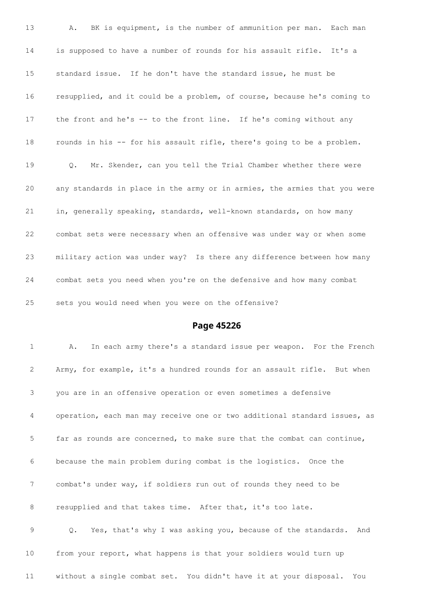A. BK is equipment, is the number of ammunition per man. Each man is supposed to have a number of rounds for his assault rifle. It's a standard issue. If he don't have the standard issue, he must be resupplied, and it could be a problem, of course, because he's coming to 17 the front and he's -- to the front line. If he's coming without any rounds in his -- for his assault rifle, there's going to be a problem. Q. Mr. Skender, can you tell the Trial Chamber whether there were any standards in place in the army or in armies, the armies that you were in, generally speaking, standards, well-known standards, on how many combat sets were necessary when an offensive was under way or when some military action was under way? Is there any difference between how many combat sets you need when you're on the defensive and how many combat sets you would need when you were on the offensive?

#### **Page 45226**

 A. In each army there's a standard issue per weapon. For the French Army, for example, it's a hundred rounds for an assault rifle. But when you are in an offensive operation or even sometimes a defensive operation, each man may receive one or two additional standard issues, as far as rounds are concerned, to make sure that the combat can continue, because the main problem during combat is the logistics. Once the combat's under way, if soldiers run out of rounds they need to be 8 resupplied and that takes time. After that, it's too late. Q. Yes, that's why I was asking you, because of the standards. And from your report, what happens is that your soldiers would turn up without a single combat set. You didn't have it at your disposal. You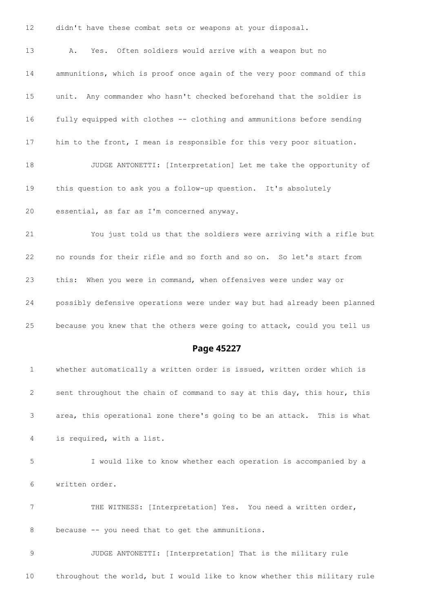didn't have these combat sets or weapons at your disposal.

 A. Yes. Often soldiers would arrive with a weapon but no ammunitions, which is proof once again of the very poor command of this unit. Any commander who hasn't checked beforehand that the soldier is fully equipped with clothes -- clothing and ammunitions before sending him to the front, I mean is responsible for this very poor situation. JUDGE ANTONETTI: [Interpretation] Let me take the opportunity of this question to ask you a follow-up question. It's absolutely essential, as far as I'm concerned anyway. You just told us that the soldiers were arriving with a rifle but

 no rounds for their rifle and so forth and so on. So let's start from this: When you were in command, when offensives were under way or possibly defensive operations were under way but had already been planned because you knew that the others were going to attack, could you tell us

# **Page 45227**

 whether automatically a written order is issued, written order which is 2 sent throughout the chain of command to say at this day, this hour, this area, this operational zone there's going to be an attack. This is what is required, with a list. I would like to know whether each operation is accompanied by a written order. THE WITNESS: [Interpretation] Yes. You need a written order, because -- you need that to get the ammunitions. JUDGE ANTONETTI: [Interpretation] That is the military rule

throughout the world, but I would like to know whether this military rule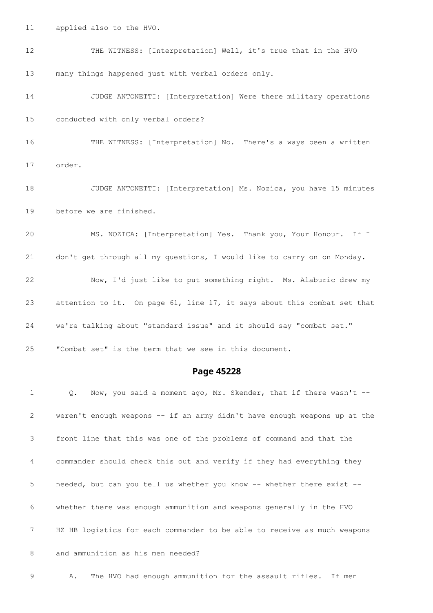- applied also to the HVO.
- 12 THE WITNESS: [Interpretation] Well, it's true that in the HVO many things happened just with verbal orders only.

 JUDGE ANTONETTI: [Interpretation] Were there military operations conducted with only verbal orders?

- THE WITNESS: [Interpretation] No. There's always been a written order.
- JUDGE ANTONETTI: [Interpretation] Ms. Nozica, you have 15 minutes before we are finished.

 MS. NOZICA: [Interpretation] Yes. Thank you, Your Honour. If I don't get through all my questions, I would like to carry on on Monday. Now, I'd just like to put something right. Ms. Alaburic drew my attention to it. On page 61, line 17, it says about this combat set that we're talking about "standard issue" and it should say "combat set." "Combat set" is the term that we see in this document.

#### **Page 45228**

 Q. Now, you said a moment ago, Mr. Skender, that if there wasn't -- weren't enough weapons -- if an army didn't have enough weapons up at the front line that this was one of the problems of command and that the commander should check this out and verify if they had everything they needed, but can you tell us whether you know -- whether there exist -- whether there was enough ammunition and weapons generally in the HVO HZ HB logistics for each commander to be able to receive as much weapons and ammunition as his men needed?

A. The HVO had enough ammunition for the assault rifles. If men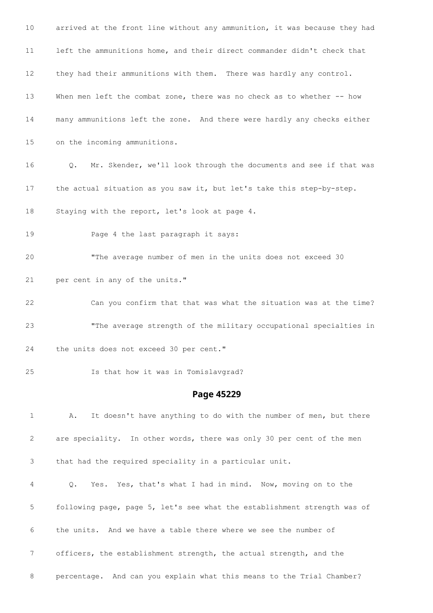| 10          | arrived at the front line without any ammunition, it was because they had          |
|-------------|------------------------------------------------------------------------------------|
| 11          | left the ammunitions home, and their direct commander didn't check that            |
| 12          | they had their ammunitions with them. There was hardly any control.                |
| 13          | When men left the combat zone, there was no check as to whether -- how             |
| 14          | many ammunitions left the zone. And there were hardly any checks either            |
| 15          | on the incoming ammunitions.                                                       |
| 16          | Mr. Skender, we'll look through the documents and see if that was<br>$Q_{\bullet}$ |
| 17          | the actual situation as you saw it, but let's take this step-by-step.              |
| 18          | Staying with the report, let's look at page 4.                                     |
| 19          | Page 4 the last paragraph it says:                                                 |
| 20          | "The average number of men in the units does not exceed 30                         |
| 21          | per cent in any of the units."                                                     |
| 22          | Can you confirm that that was what the situation was at the time?                  |
| 23          | "The average strength of the military occupational specialties in                  |
| 24          | the units does not exceed 30 per cent."                                            |
| 25          | Is that how it was in Tomislavgrad?                                                |
|             | Page 45229                                                                         |
| $\mathbf 1$ | It doesn't have anything to do with the number of men, but there<br>Α.             |
| 2           | are speciality. In other words, there was only 30 per cent of the men              |
| 3           | that had the required speciality in a particular unit.                             |
| 4           | Yes. Yes, that's what I had in mind. Now, moving on to the<br>Q.                   |
| 5           | following page, page 5, let's see what the establishment strength was of           |
| 6           | the units. And we have a table there where we see the number of                    |
| 7           | officers, the establishment strength, the actual strength, and the                 |
| 8           | percentage. And can you explain what this means to the Trial Chamber?              |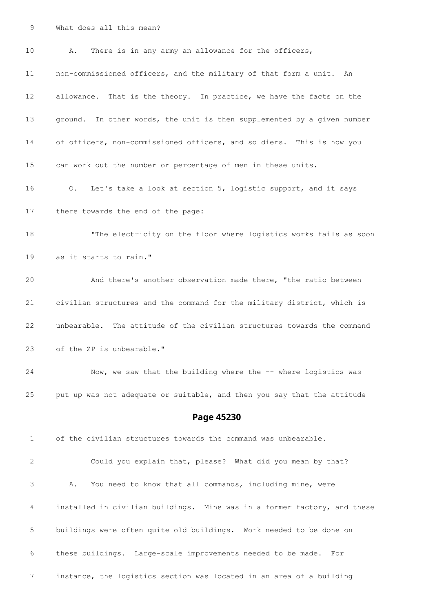What does all this mean?

| 10 | There is in any army an allowance for the officers,<br>Α.                |
|----|--------------------------------------------------------------------------|
| 11 | non-commissioned officers, and the military of that form a unit.<br>An   |
| 12 | allowance. That is the theory. In practice, we have the facts on the     |
| 13 | ground. In other words, the unit is then supplemented by a given number  |
| 14 | of officers, non-commissioned officers, and soldiers. This is how you    |
| 15 | can work out the number or percentage of men in these units.             |
| 16 | Let's take a look at section 5, logistic support, and it says<br>Q.      |
| 17 | there towards the end of the page:                                       |
| 18 | "The electricity on the floor where logistics works fails as soon        |
| 19 | as it starts to rain."                                                   |
| 20 | And there's another observation made there, "the ratio between           |
| 21 | civilian structures and the command for the military district, which is  |
| 22 | unbearable. The attitude of the civilian structures towards the command  |
| 23 | of the ZP is unbearable."                                                |
| 24 | Now, we saw that the building where the -- where logistics was           |
| 25 | put up was not adequate or suitable, and then you say that the attitude  |
|    | Page 45230                                                               |
| 1  | of the civilian structures towards the command was unbearable.           |
| 2  | Could you explain that, please? What did you mean by that?               |
| 3  | You need to know that all commands, including mine, were<br>Α.           |
| 4  | installed in civilian buildings. Mine was in a former factory, and these |
| 5  | buildings were often quite old buildings. Work needed to be done on      |
| 6  | these buildings. Large-scale improvements needed to be made. For         |
| 7  | instance, the logistics section was located in an area of a building     |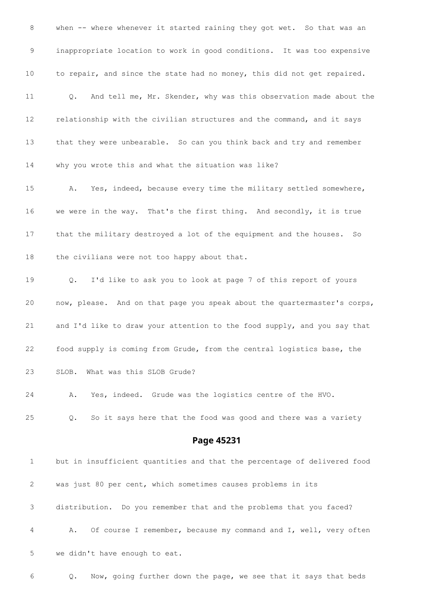8 when -- where whenever it started raining they got wet. So that was an inappropriate location to work in good conditions. It was too expensive to repair, and since the state had no money, this did not get repaired. Q. And tell me, Mr. Skender, why was this observation made about the relationship with the civilian structures and the command, and it says that they were unbearable. So can you think back and try and remember why you wrote this and what the situation was like? A. Yes, indeed, because every time the military settled somewhere, we were in the way. That's the first thing. And secondly, it is true that the military destroyed a lot of the equipment and the houses. So 18 the civilians were not too happy about that. Q. I'd like to ask you to look at page 7 of this report of yours now, please. And on that page you speak about the quartermaster's corps, and I'd like to draw your attention to the food supply, and you say that food supply is coming from Grude, from the central logistics base, the SLOB. What was this SLOB Grude? A. Yes, indeed. Grude was the logistics centre of the HVO. Q. So it says here that the food was good and there was a variety **Page 45231** but in insufficient quantities and that the percentage of delivered food was just 80 per cent, which sometimes causes problems in its distribution. Do you remember that and the problems that you faced? A. Of course I remember, because my command and I, well, very often

we didn't have enough to eat.

Q. Now, going further down the page, we see that it says that beds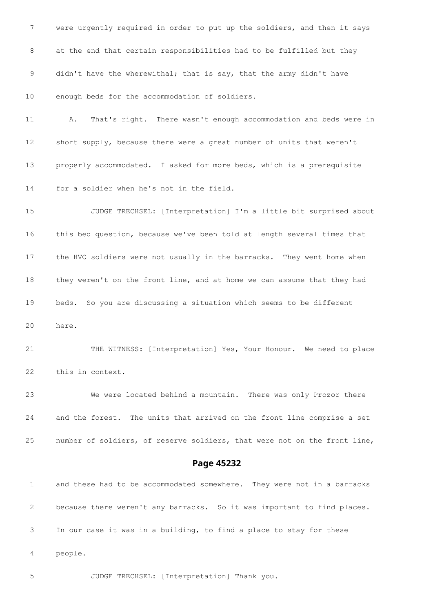were urgently required in order to put up the soldiers, and then it says at the end that certain responsibilities had to be fulfilled but they didn't have the wherewithal; that is say, that the army didn't have enough beds for the accommodation of soldiers. A. That's right. There wasn't enough accommodation and beds were in short supply, because there were a great number of units that weren't properly accommodated. I asked for more beds, which is a prerequisite for a soldier when he's not in the field. JUDGE TRECHSEL: [Interpretation] I'm a little bit surprised about this bed question, because we've been told at length several times that the HVO soldiers were not usually in the barracks. They went home when they weren't on the front line, and at home we can assume that they had beds. So you are discussing a situation which seems to be different here. THE WITNESS: [Interpretation] Yes, Your Honour. We need to place this in context. We were located behind a mountain. There was only Prozor there and the forest. The units that arrived on the front line comprise a set number of soldiers, of reserve soldiers, that were not on the front line,

#### **Page 45232**

 and these had to be accommodated somewhere. They were not in a barracks because there weren't any barracks. So it was important to find places. In our case it was in a building, to find a place to stay for these people.

JUDGE TRECHSEL: [Interpretation] Thank you.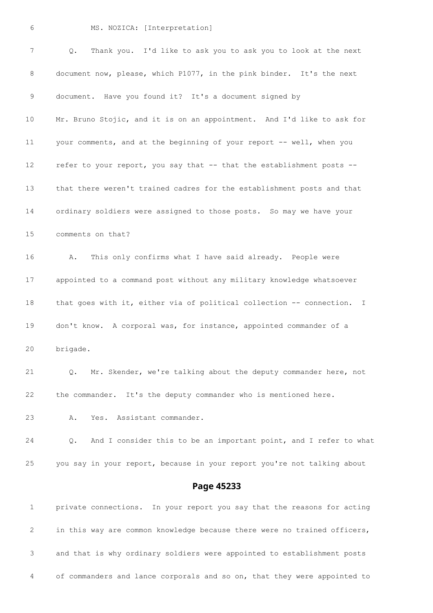MS. NOZICA: [Interpretation]

| 7               | Q.<br>Thank you. I'd like to ask you to ask you to look at the next      |
|-----------------|--------------------------------------------------------------------------|
| 8               | document now, please, which P1077, in the pink binder. It's the next     |
| 9               | document. Have you found it? It's a document signed by                   |
| 10              | Mr. Bruno Stojic, and it is on an appointment. And I'd like to ask for   |
| 11              | your comments, and at the beginning of your report -- well, when you     |
| 12              | refer to your report, you say that -- that the establishment posts --    |
| 13 <sup>°</sup> | that there weren't trained cadres for the establishment posts and that   |
| 14              | ordinary soldiers were assigned to those posts. So may we have your      |
| 15              | comments on that?                                                        |
| 16              | This only confirms what I have said already. People were<br>Α.           |
| 17              | appointed to a command post without any military knowledge whatsoever    |
| 18              | that goes with it, either via of political collection -- connection. I   |
| 19              | don't know. A corporal was, for instance, appointed commander of a       |
| 20              | brigade.                                                                 |
| 21              | Q.<br>Mr. Skender, we're talking about the deputy commander here, not    |
| 22              | the commander. It's the deputy commander who is mentioned here.          |
| 23              | Yes. Assistant commander.<br>Α.                                          |
| 24              | And I consider this to be an important point, and I refer to what<br>Q.  |
| 25              | you say in your report, because in your report you're not talking about  |
|                 | Page 45233                                                               |
| 1               | private connections. In your report you say that the reasons for acting  |
| 2               | in this way are common knowledge because there were no trained officers, |
| 3               | and that is why ordinary soldiers were appointed to establishment posts  |

of commanders and lance corporals and so on, that they were appointed to